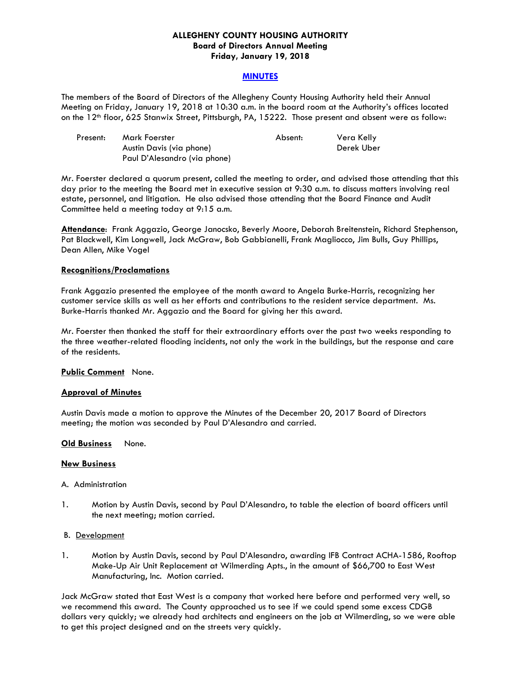### **ALLEGHENY COUNTY HOUSING AUTHORITY Board of Directors Annual Meeting Friday, January 19, 2018**

#### **MINUTES**

The members of the Board of Directors of the Allegheny County Housing Authority held their Annual Meeting on Friday, January 19, 2018 at 10:30 a.m. in the board room at the Authority's offices located on the 12<sup>th</sup> floor, 625 Stanwix Street, Pittsburgh, PA, 15222. Those present and absent were as follow:

| Present: | Mark Foerster                | Absent: | Vera Kelly |
|----------|------------------------------|---------|------------|
|          | Austin Davis (via phone)     |         | Derek Uber |
|          | Paul D'Alesandro (via phone) |         |            |

Mr. Foerster declared a quorum present, called the meeting to order, and advised those attending that this day prior to the meeting the Board met in executive session at 9:30 a.m. to discuss matters involving real estate, personnel, and litigation. He also advised those attending that the Board Finance and Audit Committee held a meeting today at 9:15 a.m.

**Attendance**: Frank Aggazio, George Janocsko, Beverly Moore, Deborah Breitenstein, Richard Stephenson, Pat Blackwell, Kim Longwell, Jack McGraw, Bob Gabbianelli, Frank Magliocco, Jim Bulls, Guy Phillips, Dean Allen, Mike Vogel

#### **Recognitions/Proclamations**

Frank Aggazio presented the employee of the month award to Angela Burke-Harris, recognizing her customer service skills as well as her efforts and contributions to the resident service department. Ms. Burke-Harris thanked Mr. Aggazio and the Board for giving her this award.

Mr. Foerster then thanked the staff for their extraordinary efforts over the past two weeks responding to the three weather-related flooding incidents, not only the work in the buildings, but the response and care of the residents.

#### **Public Comment** None.

#### **Approval of Minutes**

Austin Davis made a motion to approve the Minutes of the December 20, 2017 Board of Directors meeting; the motion was seconded by Paul D'Alesandro and carried.

#### **Old Business** None.

#### **New Business**

#### A. Administration

1. Motion by Austin Davis, second by Paul D'Alesandro, to table the election of board officers until the next meeting; motion carried.

#### B. Development

1. Motion by Austin Davis, second by Paul D'Alesandro, awarding IFB Contract ACHA-1586, Rooftop Make-Up Air Unit Replacement at Wilmerding Apts., in the amount of \$66,700 to East West Manufacturing, Inc. Motion carried.

Jack McGraw stated that East West is a company that worked here before and performed very well, so we recommend this award. The County approached us to see if we could spend some excess CDGB dollars very quickly; we already had architects and engineers on the job at Wilmerding, so we were able to get this project designed and on the streets very quickly.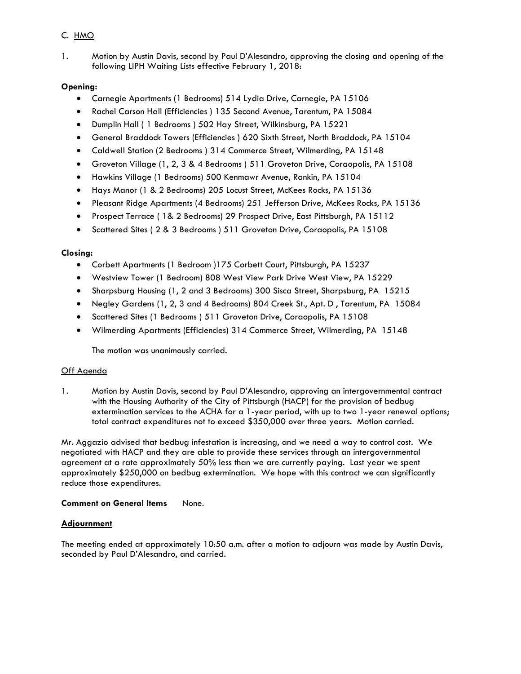# C. HMO

1. Motion by Austin Davis, second by Paul D'Alesandro, approving the closing and opening of the following LIPH Waiting Lists effective February 1, 2018:

# **Opening:**

- Carnegie Apartments (1 Bedrooms) 514 Lydia Drive, Carnegie, PA 15106
- Rachel Carson Hall (Efficiencies ) 135 Second Avenue, Tarentum, PA 15084
- Dumplin Hall ( 1 Bedrooms ) 502 Hay Street, Wilkinsburg, PA 15221
- General Braddock Towers (Efficiencies ) 620 Sixth Street, North Braddock, PA 15104
- Caldwell Station (2 Bedrooms ) 314 Commerce Street, Wilmerding, PA 15148
- Groveton Village (1, 2, 3 & 4 Bedrooms ) 511 Groveton Drive, Coraopolis, PA 15108
- Hawkins Village (1 Bedrooms) 500 Kenmawr Avenue, Rankin, PA 15104
- Hays Manor (1 & 2 Bedrooms) 205 Locust Street, McKees Rocks, PA 15136
- Pleasant Ridge Apartments (4 Bedrooms) 251 Jefferson Drive, McKees Rocks, PA 15136
- Prospect Terrace ( 1& 2 Bedrooms) 29 Prospect Drive, East Pittsburgh, PA 15112
- Scattered Sites ( 2 & 3 Bedrooms ) 511 Groveton Drive, Coraopolis, PA 15108

# **Closing:**

- Corbett Apartments (1 Bedroom )175 Corbett Court, Pittsburgh, PA 15237
- Westview Tower (1 Bedroom) 808 West View Park Drive West View, PA 15229
- Sharpsburg Housing (1, 2 and 3 Bedrooms) 300 Sisca Street, Sharpsburg, PA 15215
- Negley Gardens (1, 2, 3 and 4 Bedrooms) 804 Creek St., Apt. D , Tarentum, PA 15084
- Scattered Sites (1 Bedrooms ) 511 Groveton Drive, Coraopolis, PA 15108
- Wilmerding Apartments (Efficiencies) 314 Commerce Street, Wilmerding, PA 15148

The motion was unanimously carried.

# Off Agenda

1. Motion by Austin Davis, second by Paul D'Alesandro, approving an intergovernmental contract with the Housing Authority of the City of Pittsburgh (HACP) for the provision of bedbug extermination services to the ACHA for a 1-year period, with up to two 1-year renewal options; total contract expenditures not to exceed \$350,000 over three years. Motion carried.

Mr. Aggazio advised that bedbug infestation is increasing, and we need a way to control cost. We negotiated with HACP and they are able to provide these services through an intergovernmental agreement at a rate approximately 50% less than we are currently paying. Last year we spent approximately \$250,000 on bedbug extermination. We hope with this contract we can significantly reduce those expenditures.

### **Comment on General Items None.**

# **Adjournment**

The meeting ended at approximately 10:50 a.m. after a motion to adjourn was made by Austin Davis, seconded by Paul D'Alesandro, and carried.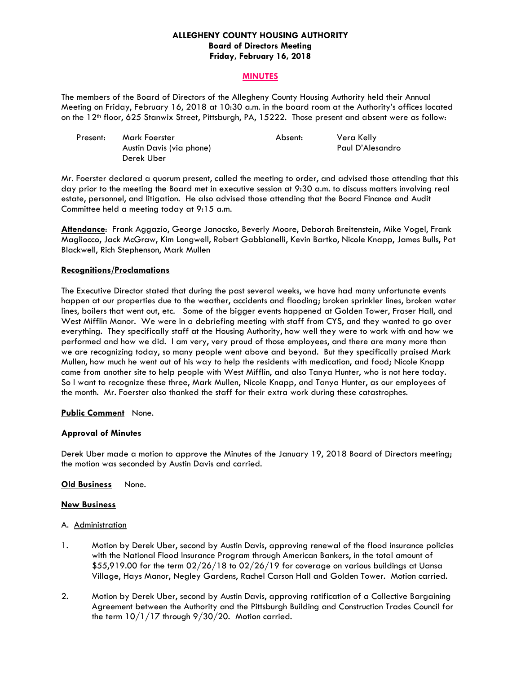### **ALLEGHENY COUNTY HOUSING AUTHORITY Board of Directors Meeting Friday, February 16, 2018**

### **MINUTES**

The members of the Board of Directors of the Allegheny County Housing Authority held their Annual Meeting on Friday, February 16, 2018 at 10:30 a.m. in the board room at the Authority's offices located on the 12<sup>th</sup> floor, 625 Stanwix Street, Pittsburgh, PA, 15222. Those present and absent were as follow:

| Present: | Mark Foerster            | Absent: | Vera Kelly       |
|----------|--------------------------|---------|------------------|
|          | Austin Davis (via phone) |         | Paul D'Alesandro |
|          | Derek Uber               |         |                  |

Mr. Foerster declared a quorum present, called the meeting to order, and advised those attending that this day prior to the meeting the Board met in executive session at 9:30 a.m. to discuss matters involving real estate, personnel, and litigation. He also advised those attending that the Board Finance and Audit Committee held a meeting today at 9:15 a.m.

**Attendance**: Frank Aggazio, George Janocsko, Beverly Moore, Deborah Breitenstein, Mike Vogel, Frank Magliocco, Jack McGraw, Kim Longwell, Robert Gabbianelli, Kevin Bartko, Nicole Knapp, James Bulls, Pat Blackwell, Rich Stephenson, Mark Mullen

#### **Recognitions/Proclamations**

The Executive Director stated that during the past several weeks, we have had many unfortunate events happen at our properties due to the weather, accidents and flooding; broken sprinkler lines, broken water lines, boilers that went out, etc. Some of the bigger events happened at Golden Tower, Fraser Hall, and West Mifflin Manor. We were in a debriefing meeting with staff from CYS, and they wanted to go over everything. They specifically staff at the Housing Authority, how well they were to work with and how we performed and how we did. I am very, very proud of those employees, and there are many more than we are recognizing today, so many people went above and beyond. But they specifically praised Mark Mullen, how much he went out of his way to help the residents with medication, and food; Nicole Knapp came from another site to help people with West Mifflin, and also Tanya Hunter, who is not here today. So I want to recognize these three, Mark Mullen, Nicole Knapp, and Tanya Hunter, as our employees of the month. Mr. Foerster also thanked the staff for their extra work during these catastrophes.

### **Public Comment** None.

### **Approval of Minutes**

Derek Uber made a motion to approve the Minutes of the January 19, 2018 Board of Directors meeting; the motion was seconded by Austin Davis and carried.

#### **Old Business** None.

#### **New Business**

#### A. Administration

- 1. Motion by Derek Uber, second by Austin Davis, approving renewal of the flood insurance policies with the National Flood Insurance Program through American Bankers, in the total amount of \$55,919.00 for the term 02/26/18 to 02/26/19 for coverage on various buildings at Uansa Village, Hays Manor, Negley Gardens, Rachel Carson Hall and Golden Tower. Motion carried.
- 2. Motion by Derek Uber, second by Austin Davis, approving ratification of a Collective Bargaining Agreement between the Authority and the Pittsburgh Building and Construction Trades Council for the term  $10/1/17$  through 9/30/20. Motion carried.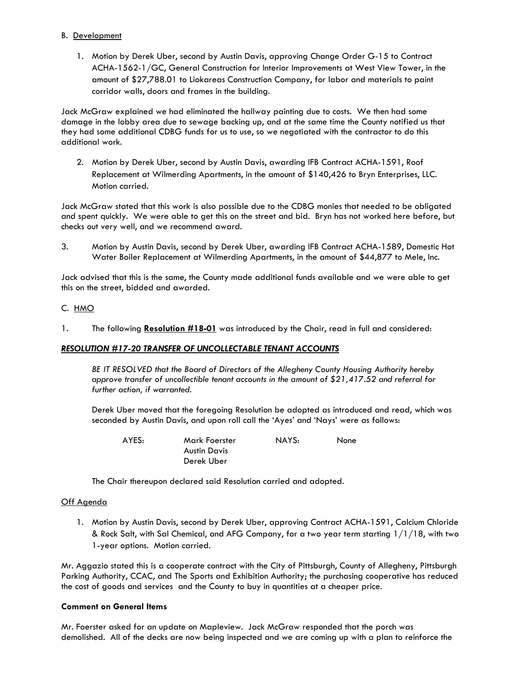### B. Development

1. Motion by Derek Uber, second by Austin Davis, approving Change Order G-15 to Contract ACHA-1562-1/GC, General Construction for Interior Improvements at West View Tower, in the amount of \$27,788.01 to Liokareas Construction Company, for labor and materials to paint corridor walls, doors and frames in the building.

Jack McGraw explained we had eliminated the hallway painting due to costs. We then had some damage in the lobby area due to sewage backing up, and at the same time the County notified us that they had some additional CDBG funds for us to use, so we negotiated with the contractor to do this additional work.

2. Motion by Derek Uber, second by Austin Davis, awarding IFB Contract ACHA-1591, Roof Replacement at Wilmerding Apartments, in the amount of \$140,426 to Bryn Enterprises, LLC. Motion carried.

Jack McGraw stated that this work is also possible due to the CDBG monies that needed to be obligated and spent quickly. We were able to get this on the street and bid. Bryn has not worked here before, but checks out very well, and we recommend award.

3. Motion by Austin Davis, second by Derek Uber, awarding IFB Contract ACHA-1589, Domestic Hot Water Boiler Replacement at Wilmerding Apartments, in the amount of \$44,877 to Mele, Inc.

Jack advised that this is the same, the County made additional funds available and we were able to get this on the street, bidded and awarded.

# C. HMO

1. The following **Resolution #18-01** was introduced by the Chair, read in full and considered:

# *RESOLUTION #17-20 TRANSFER OF UNCOLLECTABLE TENANT ACCOUNTS*

 *BE IT RESOLVED that the Board of Directors of the Allegheny County Housing Authority hereby approve transfer of uncollectible tenant accounts in the amount of \$21,417.52 and referral for further action, if warranted.* 

 Derek Uber moved that the foregoing Resolution be adopted as introduced and read, which was seconded by Austin Davis, and upon roll call the 'Ayes' and 'Nays' were as follows:

| AYES: | Mark Foerster | NAYS: | None |
|-------|---------------|-------|------|
|       | Austin Davis  |       |      |
|       | Derek Uber    |       |      |

The Chair thereupon declared said Resolution carried and adopted*.* 

### Off Agenda

1. Motion by Austin Davis, second by Derek Uber, approving Contract ACHA-1591, Calcium Chloride & Rock Salt, with Sal Chemical, and AFG Company, for a two year term starting 1/1/18, with two 1-year options. Motion carried.

Mr. Aggazio stated this is a cooperate contract with the City of Pittsburgh, County of Allegheny, Pittsburgh Parking Authority, CCAC, and The Sports and Exhibition Authority; the purchasing cooperative has reduced the cost of goods and services and the County to buy in quantities at a cheaper price.

### **Comment on General Items**

Mr. Foerster asked for an update on Mapleview. Jack McGraw responded that the porch was demolished. All of the decks are now being inspected and we are coming up with a plan to reinforce the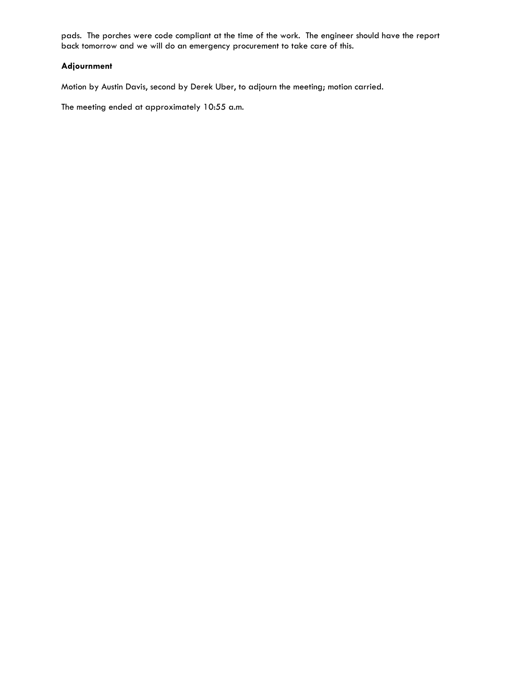pads. The porches were code compliant at the time of the work. The engineer should have the report back tomorrow and we will do an emergency procurement to take care of this.

# **Adjournment**

Motion by Austin Davis, second by Derek Uber, to adjourn the meeting; motion carried.

The meeting ended at approximately 10:55 a.m.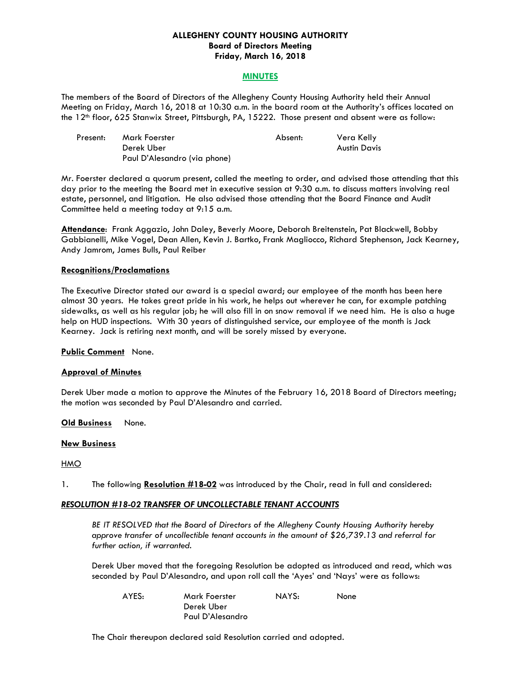### **ALLEGHENY COUNTY HOUSING AUTHORITY Board of Directors Meeting Friday, March 16, 2018**

#### **MINUTES**

The members of the Board of Directors of the Allegheny County Housing Authority held their Annual Meeting on Friday, March 16, 2018 at 10:30 a.m. in the board room at the Authority's offices located on the 12<sup>th</sup> floor, 625 Stanwix Street, Pittsburgh, PA, 15222. Those present and absent were as follow:

| Present: | Mark Foerster                | Absent: | Vera Kelly   |
|----------|------------------------------|---------|--------------|
|          | Derek Uber                   |         | Austin Davis |
|          | Paul D'Alesandro (via phone) |         |              |

Mr. Foerster declared a quorum present, called the meeting to order, and advised those attending that this day prior to the meeting the Board met in executive session at 9:30 a.m. to discuss matters involving real estate, personnel, and litigation. He also advised those attending that the Board Finance and Audit Committee held a meeting today at 9:15 a.m.

**Attendance**: Frank Aggazio, John Daley, Beverly Moore, Deborah Breitenstein, Pat Blackwell, Bobby Gabbianelli, Mike Vogel, Dean Allen, Kevin J. Bartko, Frank Magliocco, Richard Stephenson, Jack Kearney, Andy Jamrom, James Bulls, Paul Reiber

#### **Recognitions/Proclamations**

The Executive Director stated our award is a special award; our employee of the month has been here almost 30 years. He takes great pride in his work, he helps out wherever he can, for example patching sidewalks, as well as his regular job; he will also fill in on snow removal if we need him. He is also a huge help on HUD inspections. With 30 years of distinguished service, our employee of the month is Jack Kearney. Jack is retiring next month, and will be sorely missed by everyone.

**Public Comment** None.

### **Approval of Minutes**

Derek Uber made a motion to approve the Minutes of the February 16, 2018 Board of Directors meeting; the motion was seconded by Paul D'Alesandro and carried.

#### **Old Business** None.

#### **New Business**

#### HMO

1. The following **Resolution #18-02** was introduced by the Chair, read in full and considered:

### *RESOLUTION #18-02 TRANSFER OF UNCOLLECTABLE TENANT ACCOUNTS*

 *BE IT RESOLVED that the Board of Directors of the Allegheny County Housing Authority hereby approve transfer of uncollectible tenant accounts in the amount of \$26,739.13 and referral for further action, if warranted.* 

 Derek Uber moved that the foregoing Resolution be adopted as introduced and read, which was seconded by Paul D'Alesandro, and upon roll call the 'Ayes' and 'Nays' were as follows:

| AYES: | Mark Foerster    | NAYS: | None |
|-------|------------------|-------|------|
|       | Derek Uber       |       |      |
|       | Paul D'Alesandro |       |      |

The Chair thereupon declared said Resolution carried and adopted*.*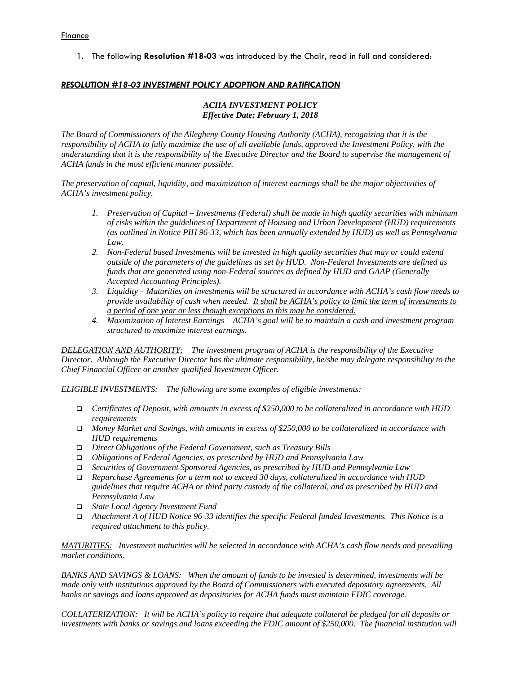1. The following **Resolution #18-03** was introduced by the Chair, read in full and considered:

### *RESOLUTION #18-03 INVESTMENT POLICY ADOPTION AND RATIFICATION*

### *ACHA INVESTMENT POLICY Effective Date: February 1, 2018*

*The Board of Commissioners of the Allegheny County Housing Authority (ACHA), recognizing that it is the responsibility of ACHA to fully maximize the use of all available funds, approved the Investment Policy, with the understanding that it is the responsibility of the Executive Director and the Board to supervise the management of ACHA funds in the most efficient manner possible.* 

*The preservation of capital, liquidity, and maximization of interest earnings shall be the major objectivities of ACHA's investment policy.* 

- *1. Preservation of Capital Investments (Federal) shall be made in high quality securities with minimum of risks within the guidelines of Department of Housing and Urban Development (HUD) requirements (as outlined in Notice PIH 96-33, which has been annually extended by HUD) as well as Pennsylvania Law.*
- *2. Non-Federal based Investments will be invested in high quality securities that may or could extend outside of the parameters of the guidelines as set by HUD. Non-Federal Investments are defined as funds that are generated using non-Federal sources as defined by HUD and GAAP (Generally Accepted Accounting Principles).*
- *3. Liquidity Maturities on investments will be structured in accordance with ACHA's cash flow needs to provide availability of cash when needed. It shall be ACHA's policy to limit the term of investments to a period of one year or less though exceptions to this may be considered.*
- *4. Maximization of Interest Earnings ACHA's goal will be to maintain a cash and investment program structured to maximize interest earnings.*

*DELEGATION AND AUTHORITY: The investment program of ACHA is the responsibility of the Executive Director. Although the Executive Director has the ultimate responsibility, he/she may delegate responsibility to the Chief Financial Officer or another qualified Investment Officer.* 

*ELIGIBLE INVESTMENTS: The following are some examples of eligible investments:* 

- *Certificates of Deposit, with amounts in excess of \$250,000 to be collateralized in accordance with HUD requirements*
- *Money Market and Savings, with amounts in excess of \$250,000 to be collateralized in accordance with HUD requirements*
- *Direct Obligations of the Federal Government, such as Treasury Bills*
- *Obligations of Federal Agencies, as prescribed by HUD and Pennsylvania Law*
- *Securities of Government Sponsored Agencies, as prescribed by HUD and Pennsylvania Law*
- *Repurchase Agreements for a term not to exceed 30 days, collateralized in accordance with HUD guidelines that require ACHA or third party custody of the collateral, and as prescribed by HUD and Pennsylvania Law*
- *State Local Agency Investment Fund*
- *Attachment A of HUD Notice 96-33 identifies the specific Federal funded Investments. This Notice is a required attachment to this policy.*

*MATURITIES: Investment maturities will be selected in accordance with ACHA's cash flow needs and prevailing market conditions.* 

*BANKS AND SAVINGS & LOANS: When the amount of funds to be invested is determined, investments will be made only with institutions approved by the Board of Commissioners with executed depository agreements. All banks or savings and loans approved as depositories for ACHA funds must maintain FDIC coverage.* 

*COLLATERIZATION: It will be ACHA's policy to require that adequate collateral be pledged for all deposits or investments with banks or savings and loans exceeding the FDIC amount of \$250,000. The financial institution will*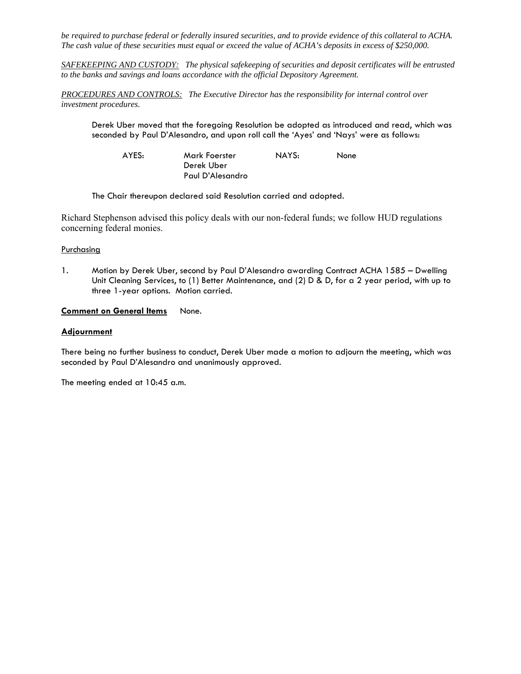*be required to purchase federal or federally insured securities, and to provide evidence of this collateral to ACHA. The cash value of these securities must equal or exceed the value of ACHA's deposits in excess of \$250,000.* 

*SAFEKEEPING AND CUSTODY: The physical safekeeping of securities and deposit certificates will be entrusted to the banks and savings and loans accordance with the official Depository Agreement.* 

*PROCEDURES AND CONTROLS: The Executive Director has the responsibility for internal control over investment procedures.* 

 Derek Uber moved that the foregoing Resolution be adopted as introduced and read, which was seconded by Paul D'Alesandro, and upon roll call the 'Ayes' and 'Nays' were as follows:

| AYES: | Mark Foerster    | NAYS: | None |
|-------|------------------|-------|------|
|       | Derek Uber       |       |      |
|       | Paul D'Alesandro |       |      |

The Chair thereupon declared said Resolution carried and adopted*.* 

Richard Stephenson advised this policy deals with our non-federal funds; we follow HUD regulations concerning federal monies.

#### **Purchasing**

1. Motion by Derek Uber, second by Paul D'Alesandro awarding Contract ACHA 1585 – Dwelling Unit Cleaning Services, to (1) Better Maintenance, and (2) D & D, for a 2 year period, with up to three 1-year options. Motion carried.

### **Comment on General Items** None.

#### **Adjournment**

There being no further business to conduct, Derek Uber made a motion to adjourn the meeting, which was seconded by Paul D'Alesandro and unanimously approved.

The meeting ended at 10:45 a.m.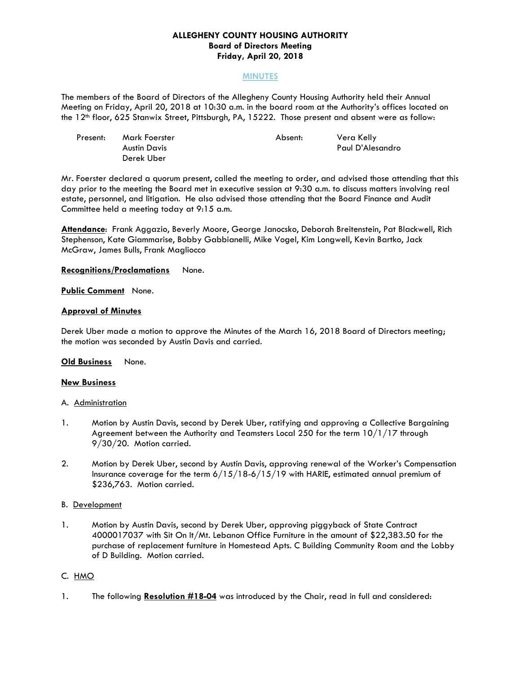### **ALLEGHENY COUNTY HOUSING AUTHORITY Board of Directors Meeting Friday, April 20, 2018**

#### **MINUTES**

The members of the Board of Directors of the Allegheny County Housing Authority held their Annual Meeting on Friday, April 20, 2018 at 10:30 a.m. in the board room at the Authority's offices located on the 12<sup>th</sup> floor, 625 Stanwix Street, Pittsburgh, PA, 15222. Those present and absent were as follow:

| Present: | Mark Foerster | Absent: | Vera Kelly       |
|----------|---------------|---------|------------------|
|          | Austin Davis  |         | Paul D'Alesandro |
|          | Derek Uber    |         |                  |

Mr. Foerster declared a quorum present, called the meeting to order, and advised those attending that this day prior to the meeting the Board met in executive session at 9:30 a.m. to discuss matters involving real estate, personnel, and litigation. He also advised those attending that the Board Finance and Audit Committee held a meeting today at 9:15 a.m.

**Attendance**: Frank Aggazio, Beverly Moore, George Janocsko, Deborah Breitenstein, Pat Blackwell, Rich Stephenson, Kate Giammarise, Bobby Gabbianelli, Mike Vogel, Kim Longwell, Kevin Bartko, Jack McGraw, James Bulls, Frank Magliocco

**Recognitions/Proclamations** None.

**Public Comment** None.

### **Approval of Minutes**

Derek Uber made a motion to approve the Minutes of the March 16, 2018 Board of Directors meeting; the motion was seconded by Austin Davis and carried.

### **Old Business** None.

### **New Business**

#### A. Administration

- 1. Motion by Austin Davis, second by Derek Uber, ratifying and approving a Collective Bargaining Agreement between the Authority and Teamsters Local 250 for the term 10/1/17 through 9/30/20. Motion carried.
- 2. Motion by Derek Uber, second by Austin Davis, approving renewal of the Worker's Compensation Insurance coverage for the term  $6/15/18-6/15/19$  with HARIE, estimated annual premium of \$236,763. Motion carried.

### B. Development

1. Motion by Austin Davis, second by Derek Uber, approving piggyback of State Contract 4000017037 with Sit On It/Mt. Lebanon Office Furniture in the amount of \$22,383.50 for the purchase of replacement furniture in Homestead Apts. C Building Community Room and the Lobby of D Building. Motion carried.

### C. HMO

1. The following **Resolution #18-04** was introduced by the Chair, read in full and considered: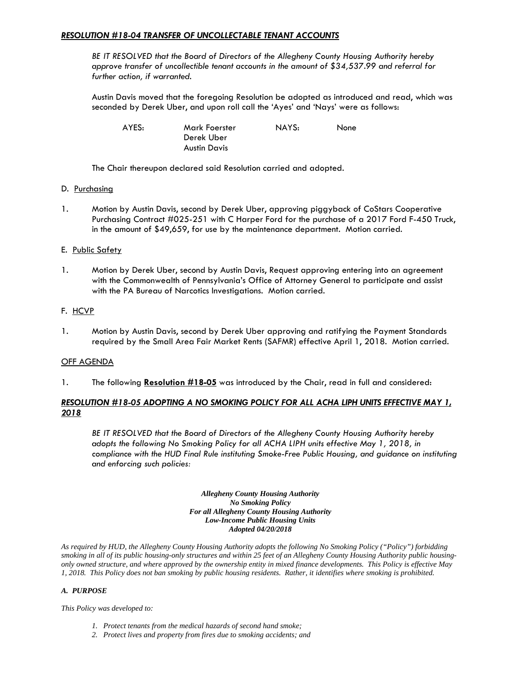### *RESOLUTION #18-04 TRANSFER OF UNCOLLECTABLE TENANT ACCOUNTS*

 *BE IT RESOLVED that the Board of Directors of the Allegheny County Housing Authority hereby approve transfer of uncollectible tenant accounts in the amount of \$34,537.99 and referral for further action, if warranted.* 

 Austin Davis moved that the foregoing Resolution be adopted as introduced and read, which was seconded by Derek Uber, and upon roll call the 'Ayes' and 'Nays' were as follows:

| AYES: | Mark Foerster       | NAYS: | None |
|-------|---------------------|-------|------|
|       | Derek Uber          |       |      |
|       | <b>Austin Davis</b> |       |      |

The Chair thereupon declared said Resolution carried and adopted*.*

#### D. Purchasing

1. Motion by Austin Davis, second by Derek Uber, approving piggyback of CoStars Cooperative Purchasing Contract #025-251 with C Harper Ford for the purchase of a 2017 Ford F-450 Truck, in the amount of \$49,659, for use by the maintenance department. Motion carried.

### E. Public Safety

1. Motion by Derek Uber, second by Austin Davis, Request approving entering into an agreement with the Commonwealth of Pennsylvania's Office of Attorney General to participate and assist with the PA Bureau of Narcotics Investigations. Motion carried.

# F. HCVP

1. Motion by Austin Davis, second by Derek Uber approving and ratifying the Payment Standards required by the Small Area Fair Market Rents (SAFMR) effective April 1, 2018. Motion carried.

### **OFF AGENDA**

1. The following **Resolution #18-05** was introduced by the Chair, read in full and considered:

# *RESOLUTION #18-05 ADOPTING A NO SMOKING POLICY FOR ALL ACHA LIPH UNITS EFFECTIVE MAY 1, 2018*

 *BE IT RESOLVED that the Board of Directors of the Allegheny County Housing Authority hereby adopts the following No Smoking Policy for all ACHA LIPH units effective May 1, 2018, in compliance with the HUD Final Rule instituting Smoke-Free Public Housing, and guidance on instituting and enforcing such policies:* 

> *Allegheny County Housing Authority No Smoking Policy For all Allegheny County Housing Authority Low-Income Public Housing Units Adopted 04/20/2018*

*As required by HUD, the Allegheny County Housing Authority adopts the following No Smoking Policy ("Policy") forbidding smoking in all of its public housing-only structures and within 25 feet of an Allegheny County Housing Authority public housingonly owned structure, and where approved by the ownership entity in mixed finance developments. This Policy is effective May 1, 2018. This Policy does not ban smoking by public housing residents. Rather, it identifies where smoking is prohibited.* 

#### *A. PURPOSE*

*This Policy was developed to:* 

- *1. Protect tenants from the medical hazards of second hand smoke;*
- *2. Protect lives and property from fires due to smoking accidents; and*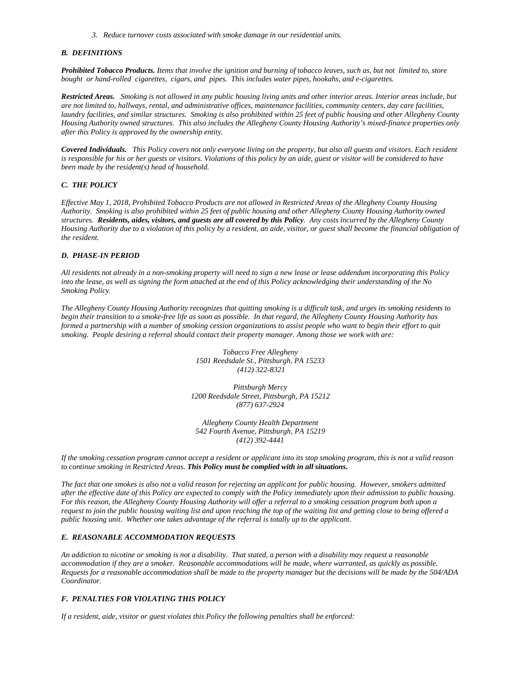*3. Reduce turnover costs associated with smoke damage in our residential units.* 

#### *B. DEFINITIONS*

*Prohibited Tobacco Products. Items that involve the ignition and burning of tobacco leaves, such as, but not limited to, store bought or hand-rolled cigarettes, cigars, and pipes. This includes water pipes, hookahs, and e-cigarettes.* 

*Restricted Areas. Smoking is not allowed in any public housing living units and other interior areas. Interior areas include, but are not limited to, hallways, rental, and administrative offices, maintenance facilities, community centers, day care facilities, laundry facilities, and similar structures. Smoking is also prohibited within 25 feet of public housing and other Allegheny County Housing Authority owned structures. This also includes the Allegheny County Housing Authority's mixed-finance properties only after this Policy is approved by the ownership entity.* 

*Covered Individuals. This Policy covers not only everyone living on the property, but also all guests and visitors. Each resident is responsible for his or her guests or visitors. Violations of this policy by an aide, guest or visitor will be considered to have been made by the resident(s) head of household.* 

#### *C. THE POLICY*

*Effective May 1, 2018, Prohibited Tobacco Products are not allowed in Restricted Areas of the Allegheny County Housing Authority. Smoking is also prohibited within 25 feet of public housing and other Allegheny County Housing Authority owned structures. Residents, aides, visitors, and guests are all covered by this Policy. Any costs incurred by the Allegheny County Housing Authority due to a violation of this policy by a resident, an aide, visitor, or guest shall become the financial obligation of the resident.* 

#### *D. PHASE-IN PERIOD*

*All residents not already in a non-smoking property will need to sign a new lease or lease addendum incorporating this Policy into the lease, as well as signing the form attached at the end of this Policy acknowledging their understanding of the No Smoking Policy.* 

*The Allegheny County Housing Authority recognizes that quitting smoking is a difficult task, and urges its smoking residents to begin their transition to a smoke-free life as soon as possible. In that regard, the Allegheny County Housing Authority has formed a partnership with a number of smoking cession organizations to assist people who want to begin their effort to quit smoking. People desiring a referral should contact their property manager. Among those we work with are:* 

> *Tobacco Free Allegheny 1501 Reedsdale St., Pittsburgh, PA 15233 (412) 322-8321*

*Pittsburgh Mercy 1200 Reedsdale Street, Pittsburgh, PA 15212 (877) 637-2924* 

*Allegheny County Health Department 542 Fourth Avenue, Pittsburgh, PA 15219 (412) 392-4441* 

*If the smoking cessation program cannot accept a resident or applicant into its stop smoking program, this is not a valid reason to continue smoking in Restricted Areas. This Policy must be complied with in all situations.* 

*The fact that one smokes is also not a valid reason for rejecting an applicant for public housing. However, smokers admitted after the effective date of this Policy are expected to comply with the Policy immediately upon their admission to public housing. For this reason, the Allegheny County Housing Authority will offer a referral to a smoking cessation program both upon a request to join the public housing waiting list and upon reaching the top of the waiting list and getting close to being offered a public housing unit. Whether one takes advantage of the referral is totally up to the applicant.* 

#### *E. REASONABLE ACCOMMODATION REQUESTS*

*An addiction to nicotine or smoking is not a disability. That stated, a person with a disability may request a reasonable accommodation if they are a smoker. Reasonable accommodations will be made, where warranted, as quickly as possible. Requests for a reasonable accommodation shall be made to the property manager but the decisions will be made by the 504/ADA Coordinator.* 

#### *F. PENALTIES FOR VIOLATING THIS POLICY*

*If a resident, aide, visitor or guest violates this Policy the following penalties shall be enforced:*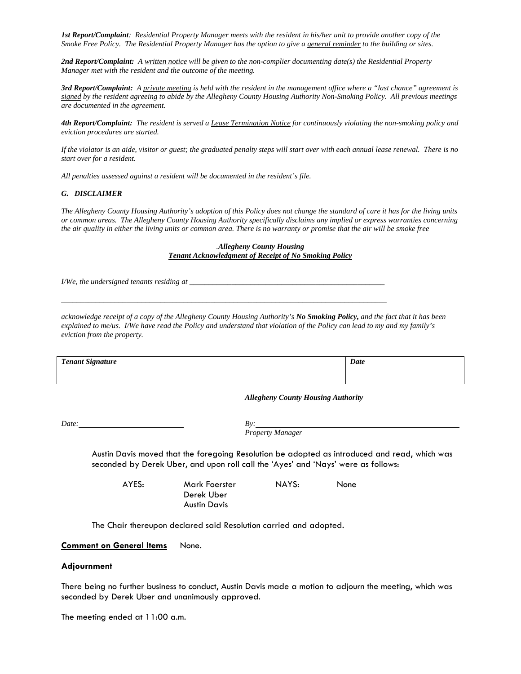*1st Report/Complaint: Residential Property Manager meets with the resident in his/her unit to provide another copy of the Smoke Free Policy. The Residential Property Manager has the option to give a general reminder to the building or sites.* 

*2nd Report/Complaint: A written notice will be given to the non-complier documenting date(s) the Residential Property Manager met with the resident and the outcome of the meeting.* 

*3rd Report/Complaint: A private meeting is held with the resident in the management office where a "last chance" agreement is signed by the resident agreeing to abide by the Allegheny County Housing Authority Non-Smoking Policy. All previous meetings are documented in the agreement.* 

*4th Report/Complaint: The resident is served a Lease Termination Notice for continuously violating the non-smoking policy and eviction procedures are started.* 

*If the violator is an aide, visitor or guest; the graduated penalty steps will start over with each annual lease renewal. There is no start over for a resident.* 

*All penalties assessed against a resident will be documented in the resident's file.* 

#### *G. DISCLAIMER*

*The Allegheny County Housing Authority's adoption of this Policy does not change the standard of care it has for the living units or common areas. The Allegheny County Housing Authority specifically disclaims any implied or express warranties concerning the air quality in either the living units or common area. There is no warranty or promise that the air will be smoke free* 

#### *.Allegheny County Housing Tenant Acknowledgment of Receipt of No Smoking Policy*

*I/We, the undersigned tenants residing at \_\_\_\_\_\_\_\_\_\_\_\_\_\_\_\_\_\_\_\_\_\_\_\_\_\_\_\_\_\_\_\_\_\_\_\_\_\_\_\_\_\_\_\_\_\_\_\_\_\_\_* 

*acknowledge receipt of a copy of the Allegheny County Housing Authority's No Smoking Policy, and the fact that it has been explained to me/us. I/We have read the Policy and understand that violation of the Policy can lead to my and my family's eviction from the property.* 

*\_\_\_\_\_\_\_\_\_\_\_\_\_\_\_\_\_\_\_\_\_\_\_\_\_\_\_\_\_\_\_\_\_\_\_\_\_\_\_\_\_\_\_\_\_\_\_\_\_\_\_\_\_\_\_\_\_\_\_\_\_\_\_\_\_\_\_\_\_\_\_\_\_\_\_\_\_\_\_\_\_\_\_\_\_* 

| $\mathbf{r}$<br><i>onani</i><br>Nionaturo - | Date |
|---------------------------------------------|------|
|                                             |      |
|                                             |      |

#### *Allegheny County Housing Authority*

*Date: By:* 

*Property Manager* 

 Austin Davis moved that the foregoing Resolution be adopted as introduced and read, which was seconded by Derek Uber, and upon roll call the 'Ayes' and 'Nays' were as follows:

Derek Uber Austin Davis

AYES: Mark Foerster NAYS: None

The Chair thereupon declared said Resolution carried and adopted*.*

#### **Comment on General Items** None.

#### **Adjournment**

There being no further business to conduct, Austin Davis made a motion to adjourn the meeting, which was seconded by Derek Uber and unanimously approved.

The meeting ended at 11:00 a.m.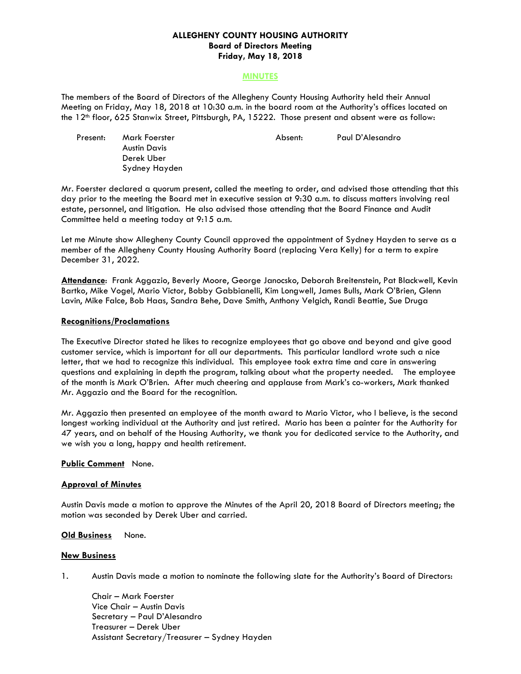### **ALLEGHENY COUNTY HOUSING AUTHORITY Board of Directors Meeting Friday, May 18, 2018**

#### **MINUTES**

The members of the Board of Directors of the Allegheny County Housing Authority held their Annual Meeting on Friday, May 18, 2018 at 10:30 a.m. in the board room at the Authority's offices located on the 12<sup>th</sup> floor, 625 Stanwix Street, Pittsburgh, PA, 15222. Those present and absent were as follow:

Present: Mark Foerster Absent: Paul D'Alesandro Austin Davis Derek Uber Sydney Hayden

Mr. Foerster declared a quorum present, called the meeting to order, and advised those attending that this day prior to the meeting the Board met in executive session at 9:30 a.m. to discuss matters involving real estate, personnel, and litigation. He also advised those attending that the Board Finance and Audit Committee held a meeting today at 9:15 a.m.

Let me Minute show Allegheny County Council approved the appointment of Sydney Hayden to serve as a member of the Allegheny County Housing Authority Board (replacing Vera Kelly) for a term to expire December 31, 2022.

**Attendance**: Frank Aggazio, Beverly Moore, George Janocsko, Deborah Breitenstein, Pat Blackwell, Kevin Bartko, Mike Vogel, Mario Victor, Bobby Gabbianelli, Kim Longwell, James Bulls, Mark O'Brien, Glenn Lavin, Mike Falce, Bob Haas, Sandra Behe, Dave Smith, Anthony Velgich, Randi Beattie, Sue Druga

### **Recognitions/Proclamations**

The Executive Director stated he likes to recognize employees that go above and beyond and give good customer service, which is important for all our departments. This particular landlord wrote such a nice letter, that we had to recognize this individual. This employee took extra time and care in answering questions and explaining in depth the program, talking about what the property needed. The employee of the month is Mark O'Brien. After much cheering and applause from Mark's co-workers, Mark thanked Mr. Aggazio and the Board for the recognition.

Mr. Aggazio then presented an employee of the month award to Mario Victor, who I believe, is the second longest working individual at the Authority and just retired. Mario has been a painter for the Authority for 47 years, and on behalf of the Housing Authority, we thank you for dedicated service to the Authority, and we wish you a long, happy and health retirement.

#### **Public Comment** None.

### **Approval of Minutes**

Austin Davis made a motion to approve the Minutes of the April 20, 2018 Board of Directors meeting; the motion was seconded by Derek Uber and carried.

#### **Old Business** None.

#### **New Business**

1. Austin Davis made a motion to nominate the following slate for the Authority's Board of Directors:

 Chair – Mark Foerster Vice Chair – Austin Davis Secretary – Paul D'Alesandro Treasurer – Derek Uber Assistant Secretary/Treasurer – Sydney Hayden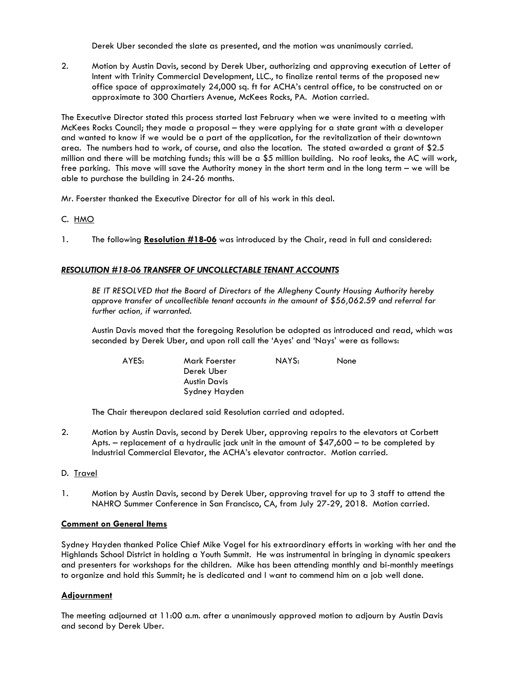Derek Uber seconded the slate as presented, and the motion was unanimously carried.

2. Motion by Austin Davis, second by Derek Uber, authorizing and approving execution of Letter of Intent with Trinity Commercial Development, LLC., to finalize rental terms of the proposed new office space of approximately 24,000 sq. ft for ACHA's central office, to be constructed on or approximate to 300 Chartiers Avenue, McKees Rocks, PA. Motion carried.

The Executive Director stated this process started last February when we were invited to a meeting with McKees Rocks Council; they made a proposal – they were applying for a state grant with a developer and wanted to know if we would be a part of the application, for the revitalization of their downtown area. The numbers had to work, of course, and also the location. The stated awarded a grant of \$2.5 million and there will be matching funds; this will be a \$5 million building. No roof leaks, the AC will work, free parking. This move will save the Authority money in the short term and in the long term – we will be able to purchase the building in 24-26 months.

Mr. Foerster thanked the Executive Director for all of his work in this deal.

# C. HMO

1. The following **Resolution #18-06** was introduced by the Chair, read in full and considered:

# *RESOLUTION #18-06 TRANSFER OF UNCOLLECTABLE TENANT ACCOUNTS*

 *BE IT RESOLVED that the Board of Directors of the Allegheny County Housing Authority hereby approve transfer of uncollectible tenant accounts in the amount of \$56,062.59 and referral for further action, if warranted.* 

 Austin Davis moved that the foregoing Resolution be adopted as introduced and read, which was seconded by Derek Uber, and upon roll call the 'Ayes' and 'Nays' were as follows:

 AYES: Mark Foerster NAYS: None Derek Uber Austin Davis Sydney Hayden

The Chair thereupon declared said Resolution carried and adopted*.*

2. Motion by Austin Davis, second by Derek Uber, approving repairs to the elevators at Corbett Apts. – replacement of a hydraulic jack unit in the amount of \$47,600 – to be completed by Industrial Commercial Elevator, the ACHA's elevator contractor. Motion carried.

### D. Travel

1. Motion by Austin Davis, second by Derek Uber, approving travel for up to 3 staff to attend the NAHRO Summer Conference in San Francisco, CA, from July 27-29, 2018. Motion carried.

### **Comment on General Items**

Sydney Hayden thanked Police Chief Mike Vogel for his extraordinary efforts in working with her and the Highlands School District in holding a Youth Summit. He was instrumental in bringing in dynamic speakers and presenters for workshops for the children. Mike has been attending monthly and bi-monthly meetings to organize and hold this Summit; he is dedicated and I want to commend him on a job well done.

# **Adjournment**

The meeting adjourned at 11:00 a.m. after a unanimously approved motion to adjourn by Austin Davis and second by Derek Uber.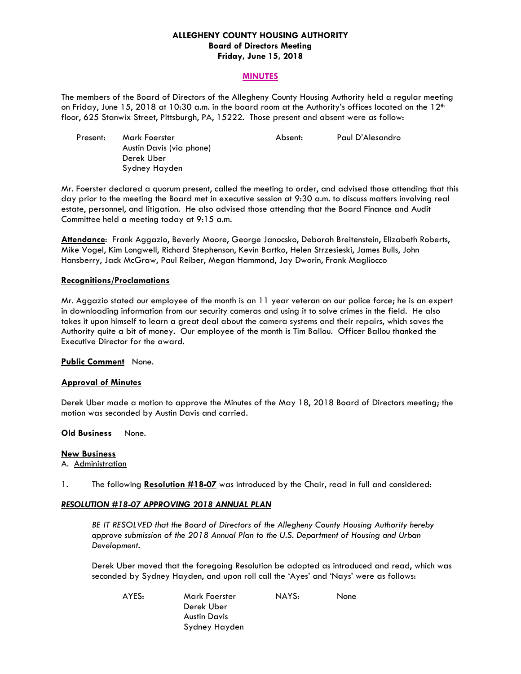### **ALLEGHENY COUNTY HOUSING AUTHORITY Board of Directors Meeting Friday, June 15, 2018**

#### **MINUTES**

The members of the Board of Directors of the Allegheny County Housing Authority held a regular meeting on Friday, June 15, 2018 at 10:30 a.m. in the board room at the Authority's offices located on the 12<sup>th</sup> floor, 625 Stanwix Street, Pittsburgh, PA, 15222. Those present and absent were as follow:

| Present: | Mark Foerster            | Absent: | Paul D'Alesandro |
|----------|--------------------------|---------|------------------|
|          | Austin Davis (via phone) |         |                  |
|          | Derek Uber               |         |                  |
|          | Sydney Hayden            |         |                  |

Mr. Foerster declared a quorum present, called the meeting to order, and advised those attending that this day prior to the meeting the Board met in executive session at 9:30 a.m. to discuss matters involving real estate, personnel, and litigation. He also advised those attending that the Board Finance and Audit Committee held a meeting today at 9:15 a.m.

**Attendance**: Frank Aggazio, Beverly Moore, George Janocsko, Deborah Breitenstein, Elizabeth Roberts, Mike Vogel, Kim Longwell, Richard Stephenson, Kevin Bartko, Helen Strzesieski, James Bulls, John Hansberry, Jack McGraw, Paul Reiber, Megan Hammond, Jay Dworin, Frank Magliocco

#### **Recognitions/Proclamations**

Mr. Aggazio stated our employee of the month is an 11 year veteran on our police force; he is an expert in downloading information from our security cameras and using it to solve crimes in the field. He also takes it upon himself to learn a great deal about the camera systems and their repairs, which saves the Authority quite a bit of money. Our employee of the month is Tim Ballou. Officer Ballou thanked the Executive Director for the award.

#### **Public Comment** None.

### **Approval of Minutes**

Derek Uber made a motion to approve the Minutes of the May 18, 2018 Board of Directors meeting; the motion was seconded by Austin Davis and carried.

### **Old Business** None.

#### **New Business**

A. Administration

1. The following **Resolution #18-07** was introduced by the Chair, read in full and considered:

### *RESOLUTION #18-07 APPROVING 2018 ANNUAL PLAN*

 *BE IT RESOLVED that the Board of Directors of the Allegheny County Housing Authority hereby approve submission of the 2018 Annual Plan to the U.S. Department of Housing and Urban Development.* 

 Derek Uber moved that the foregoing Resolution be adopted as introduced and read, which was seconded by Sydney Hayden, and upon roll call the 'Ayes' and 'Nays' were as follows:

 AYES: Mark Foerster NAYS: None Derek Uber Austin Davis Sydney Hayden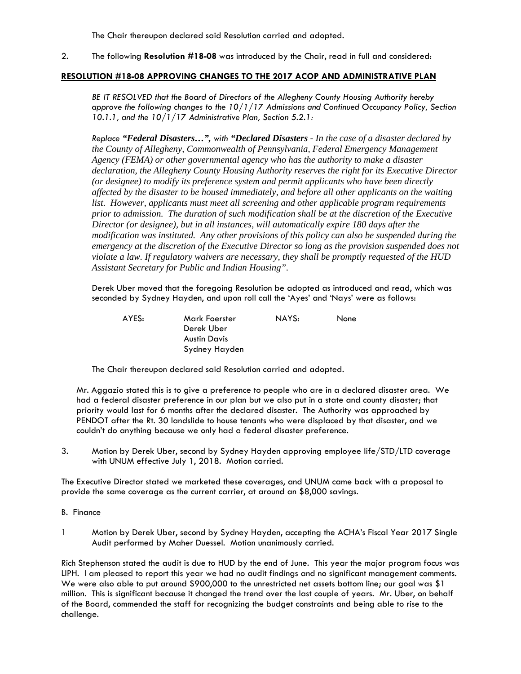The Chair thereupon declared said Resolution carried and adopted*.*

2. The following **Resolution #18-08** was introduced by the Chair, read in full and considered:

# **RESOLUTION #18-08 APPROVING CHANGES TO THE 2017 ACOP AND ADMINISTRATIVE PLAN**

 *BE IT RESOLVED that the Board of Directors of the Allegheny County Housing Authority hereby approve the following changes to the 10/1/17 Admissions and Continued Occupancy Policy, Section 10.1.1, and the 10/1/17 Administrative Plan, Section 5.2.1:* 

*Replace "Federal Disasters…", with "Declared Disasters - In the case of a disaster declared by the County of Allegheny, Commonwealth of Pennsylvania, Federal Emergency Management Agency (FEMA) or other governmental agency who has the authority to make a disaster declaration, the Allegheny County Housing Authority reserves the right for its Executive Director (or designee) to modify its preference system and permit applicants who have been directly affected by the disaster to be housed immediately, and before all other applicants on the waiting*  list. However, applicants must meet all screening and other applicable program requirements *prior to admission. The duration of such modification shall be at the discretion of the Executive Director (or designee), but in all instances, will automatically expire 180 days after the modification was instituted. Any other provisions of this policy can also be suspended during the emergency at the discretion of the Executive Director so long as the provision suspended does not violate a law. If regulatory waivers are necessary, they shall be promptly requested of the HUD Assistant Secretary for Public and Indian Housing".* 

 Derek Uber moved that the foregoing Resolution be adopted as introduced and read, which was seconded by Sydney Hayden, and upon roll call the 'Ayes' and 'Nays' were as follows:

 AYES: Mark Foerster NAYS: None Derek Uber Austin Davis Sydney Hayden

The Chair thereupon declared said Resolution carried and adopted*.* 

Mr. Aggazio stated this is to give a preference to people who are in a declared disaster area. We had a federal disaster preference in our plan but we also put in a state and county disaster; that priority would last for 6 months after the declared disaster. The Authority was approached by PENDOT after the Rt. 30 landslide to house tenants who were displaced by that disaster, and we couldn't do anything because we only had a federal disaster preference.

3. Motion by Derek Uber, second by Sydney Hayden approving employee life/STD/LTD coverage with UNUM effective July 1, 2018. Motion carried.

The Executive Director stated we marketed these coverages, and UNUM came back with a proposal to provide the same coverage as the current carrier, at around an \$8,000 savings.

### B. Finance

1 Motion by Derek Uber, second by Sydney Hayden, accepting the ACHA's Fiscal Year 2017 Single Audit performed by Maher Duessel. Motion unanimously carried.

Rich Stephenson stated the audit is due to HUD by the end of June. This year the major program focus was LIPH. I am pleased to report this year we had no audit findings and no significant management comments. We were also able to put around \$900,000 to the unrestricted net assets bottom line; our goal was \$1 million. This is significant because it changed the trend over the last couple of years. Mr. Uber, on behalf of the Board, commended the staff for recognizing the budget constraints and being able to rise to the challenge.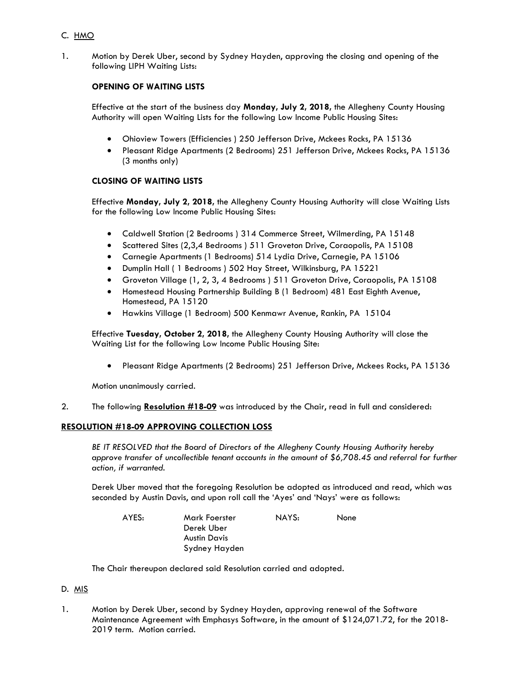# C. HMO

1. Motion by Derek Uber, second by Sydney Hayden, approving the closing and opening of the following LIPH Waiting Lists:

# **OPENING OF WAITING LISTS**

Effective at the start of the business day **Monday, July 2, 2018,** the Allegheny County Housing Authority will open Waiting Lists for the following Low Income Public Housing Sites:

- Ohioview Towers (Efficiencies ) 250 Jefferson Drive, Mckees Rocks, PA 15136
- Pleasant Ridge Apartments (2 Bedrooms) 251 Jefferson Drive, Mckees Rocks, PA 15136 (3 months only)

# **CLOSING OF WAITING LISTS**

Effective **Monday, July 2, 2018,** the Allegheny County Housing Authority will close Waiting Lists for the following Low Income Public Housing Sites:

- Caldwell Station (2 Bedrooms ) 314 Commerce Street, Wilmerding, PA 15148
- Scattered Sites (2,3,4 Bedrooms ) 511 Groveton Drive, Coraopolis, PA 15108
- Carnegie Apartments (1 Bedrooms) 514 Lydia Drive, Carnegie, PA 15106
- Dumplin Hall ( 1 Bedrooms ) 502 Hay Street, Wilkinsburg, PA 15221
- Groveton Village (1, 2, 3, 4 Bedrooms ) 511 Groveton Drive, Coraopolis, PA 15108
- Homestead Housing Partnership Building B (1 Bedroom) 481 East Eighth Avenue, Homestead, PA 15120
- Hawkins Village (1 Bedroom) 500 Kenmawr Avenue, Rankin, PA 15104

Effective **Tuesday, October 2, 2018,** the Allegheny County Housing Authority will close the Waiting List for the following Low Income Public Housing Site:

Pleasant Ridge Apartments (2 Bedrooms) 251 Jefferson Drive, Mckees Rocks, PA 15136

Motion unanimously carried.

2. The following **Resolution #18-09** was introduced by the Chair, read in full and considered:

# **RESOLUTION #18-09 APPROVING COLLECTION LOSS**

 *BE IT RESOLVED that the Board of Directors of the Allegheny County Housing Authority hereby approve transfer of uncollectible tenant accounts in the amount of \$6,708.45 and referral for further action, if warranted.* 

 Derek Uber moved that the foregoing Resolution be adopted as introduced and read, which was seconded by Austin Davis, and upon roll call the 'Ayes' and 'Nays' were as follows:

 AYES: Mark Foerster NAYS: None Derek Uber Austin Davis Sydney Hayden

The Chair thereupon declared said Resolution carried and adopted*.*

### D. MIS

1. Motion by Derek Uber, second by Sydney Hayden, approving renewal of the Software Maintenance Agreement with Emphasys Software, in the amount of \$124,071.72, for the 2018- 2019 term. Motion carried.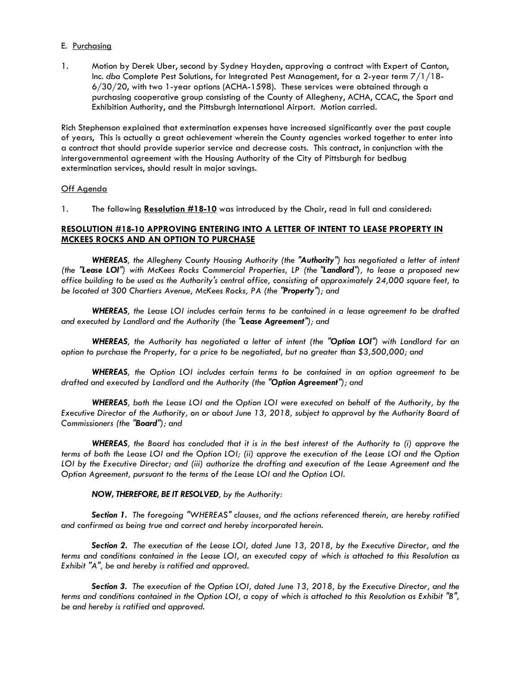#### E. Purchasing

1. Motion by Derek Uber, second by Sydney Hayden, approving a contract with Expert of Canton, Inc. *dba* Complete Pest Solutions, for Integrated Pest Management, for a 2-year term 7/1/18- 6/30/20, with two 1-year options (ACHA-1598). These services were obtained through a purchasing cooperative group consisting of the County of Allegheny, ACHA, CCAC, the Sport and Exhibition Authority, and the Pittsburgh International Airport. Motion carried.

Rich Stephenson explained that extermination expenses have increased significantly over the past couple of years, This is actually a great achievement wherein the County agencies worked together to enter into a contract that should provide superior service and decrease costs. This contract, in conjunction with the intergovernmental agreement with the Housing Authority of the City of Pittsburgh for bedbug extermination services, should result in major savings.

#### Off Agenda

1. The following **Resolution #18-10** was introduced by the Chair, read in full and considered:

### **RESOLUTION #18-10 APPROVING ENTERING INTO A LETTER OF INTENT TO LEASE PROPERTY IN MCKEES ROCKS AND AN OPTION TO PURCHASE**

*WHEREAS, the Allegheny County Housing Authority (the "Authority") has negotiated a letter of intent (the "Lease LOI") with McKees Rocks Commercial Properties, LP (the "Landlord"), to lease a proposed new office building to be used as the Authority's central office, consisting of approximately 24,000 square feet, to be located at 300 Chartiers Avenue, McKees Rocks, PA (the "Property"); and* 

*WHEREAS, the Lease LOI includes certain terms to be contained in a lease agreement to be drafted and executed by Landlord and the Authority (the "Lease Agreement"); and* 

*WHEREAS, the Authority has negotiated a letter of intent (the "Option LOI") with Landlord for an option to purchase the Property, for a price to be negotiated, but no greater than \$3,500,000; and* 

*WHEREAS, the Option LOI includes certain terms to be contained in an option agreement to be drafted and executed by Landlord and the Authority (the "Option Agreement"); and* 

*WHEREAS, both the Lease LOI and the Option LOI were executed on behalf of the Authority, by the Executive Director of the Authority, on or about June 13, 2018, subject to approval by the Authority Board of Commissioners (the "Board"); and* 

*WHEREAS, the Board has concluded that it is in the best interest of the Authority to (i) approve the terms of both the Lease LOI and the Option LOI; (ii) approve the execution of the Lease LOI and the Option*  LOI by the Executive Director; and (iii) authorize the drafting and execution of the Lease Agreement and the *Option Agreement, pursuant to the terms of the Lease LOI and the Option LOI.* 

#### *NOW, THEREFORE, BE IT RESOLVED, by the Authority:*

*Section 1. The foregoing "WHEREAS" clauses, and the actions referenced therein, are hereby ratified and confirmed as being true and correct and hereby incorporated herein.*

*Section 2. The execution of the Lease LOI, dated June 13, 2018, by the Executive Director, and the terms and conditions contained in the Lease LOI, an executed copy of which is attached to this Resolution as Exhibit "A", be and hereby is ratified and approved.* 

*Section 3. The execution of the Option LOI, dated June 13, 2018, by the Executive Director, and the terms and conditions contained in the Option LOI, a copy of which is attached to this Resolution as Exhibit "B", be and hereby is ratified and approved.*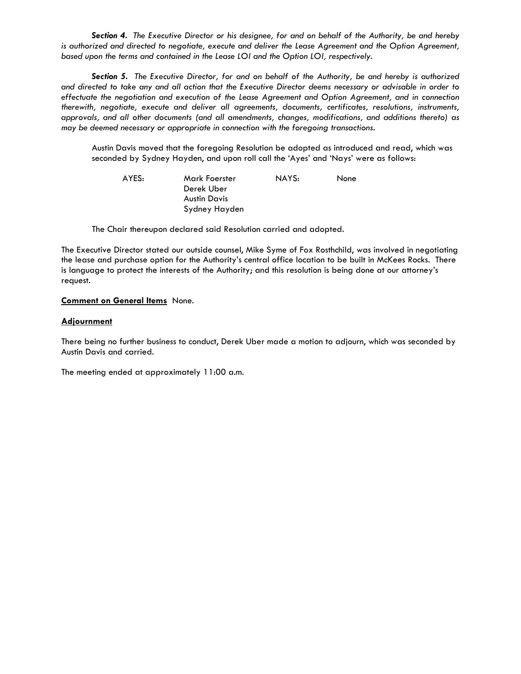*Section 4. The Executive Director or his designee, for and on behalf of the Authority, be and hereby is authorized and directed to negotiate, execute and deliver the Lease Agreement and the Option Agreement, based upon the terms and contained in the Lease LOI and the Option LOI, respectively.* 

*Section 5. The Executive Director, for and on behalf of the Authority, be and hereby is authorized and directed to take any and all action that the Executive Director deems necessary or advisable in order to effectuate the negotiation and execution of the Lease Agreement and Option Agreement, and in connection therewith, negotiate, execute and deliver all agreements, documents, certificates, resolutions, instruments, approvals, and all other documents (and all amendments, changes, modifications, and additions thereto) as may be deemed necessary or appropriate in connection with the foregoing transactions.* 

 Austin Davis moved that the foregoing Resolution be adopted as introduced and read, which was seconded by Sydney Hayden, and upon roll call the 'Ayes' and 'Nays' were as follows:

| AYES: | Mark Foerster | NAYS: | None |
|-------|---------------|-------|------|
|       | Derek Uber    |       |      |
|       | Austin Davis  |       |      |
|       | Sydney Hayden |       |      |

The Chair thereupon declared said Resolution carried and adopted*.*

The Executive Director stated our outside counsel, Mike Syme of Fox Rosthchild, was involved in negotiating the lease and purchase option for the Authority's central office location to be built in McKees Rocks. There is language to protect the interests of the Authority; and this resolution is being done at our attorney's request.

#### **Comment on General Items** None.

#### **Adjournment**

There being no further business to conduct, Derek Uber made a motion to adjourn, which was seconded by Austin Davis and carried.

The meeting ended at approximately 11:00 a.m.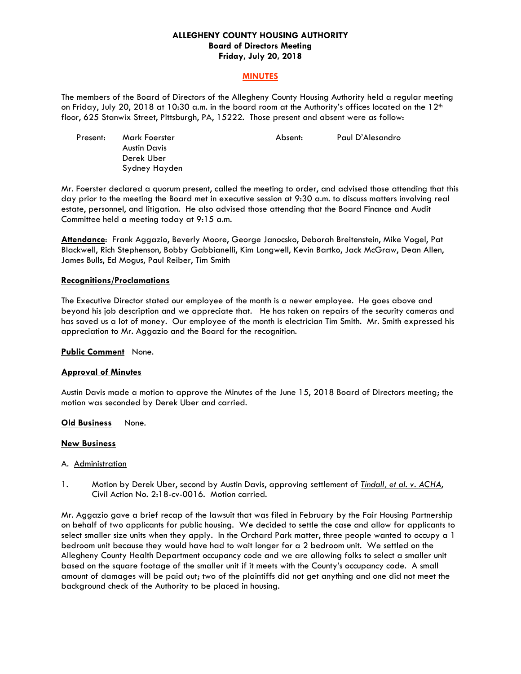### **ALLEGHENY COUNTY HOUSING AUTHORITY Board of Directors Meeting Friday, July 20, 2018**

### **MINUTES**

The members of the Board of Directors of the Allegheny County Housing Authority held a regular meeting on Friday, July 20, 2018 at 10:30 a.m. in the board room at the Authority's offices located on the 12<sup>th</sup> floor, 625 Stanwix Street, Pittsburgh, PA, 15222. Those present and absent were as follow:

| Present: | Mark Foerster | Absent: | Paul D'Alesandro |
|----------|---------------|---------|------------------|
|          | Austin Davis  |         |                  |
|          | Derek Uber    |         |                  |
|          | Sydney Hayden |         |                  |

Mr. Foerster declared a quorum present, called the meeting to order, and advised those attending that this day prior to the meeting the Board met in executive session at 9:30 a.m. to discuss matters involving real estate, personnel, and litigation. He also advised those attending that the Board Finance and Audit Committee held a meeting today at 9:15 a.m.

**Attendance**: Frank Aggazio, Beverly Moore, George Janocsko, Deborah Breitenstein, Mike Vogel, Pat Blackwell, Rich Stephenson, Bobby Gabbianelli, Kim Longwell, Kevin Bartko, Jack McGraw, Dean Allen, James Bulls, Ed Mogus, Paul Reiber, Tim Smith

#### **Recognitions/Proclamations**

The Executive Director stated our employee of the month is a newer employee. He goes above and beyond his job description and we appreciate that. He has taken on repairs of the security cameras and has saved us a lot of money. Our employee of the month is electrician Tim Smith. Mr. Smith expressed his appreciation to Mr. Aggazio and the Board for the recognition.

**Public Comment** None.

#### **Approval of Minutes**

Austin Davis made a motion to approve the Minutes of the June 15, 2018 Board of Directors meeting; the motion was seconded by Derek Uber and carried.

#### **Old Business** None.

#### **New Business**

#### A. Administration

1. Motion by Derek Uber, second by Austin Davis, approving settlement of *Tindall, et al. v. ACHA*, Civil Action No. 2:18-cv-0016. Motion carried.

Mr. Aggazio gave a brief recap of the lawsuit that was filed in February by the Fair Housing Partnership on behalf of two applicants for public housing. We decided to settle the case and allow for applicants to select smaller size units when they apply. In the Orchard Park matter, three people wanted to occupy a 1 bedroom unit because they would have had to wait longer for a 2 bedroom unit. We settled on the Allegheny County Health Department occupancy code and we are allowing folks to select a smaller unit based on the square footage of the smaller unit if it meets with the County's occupancy code. A small amount of damages will be paid out; two of the plaintiffs did not get anything and one did not meet the background check of the Authority to be placed in housing.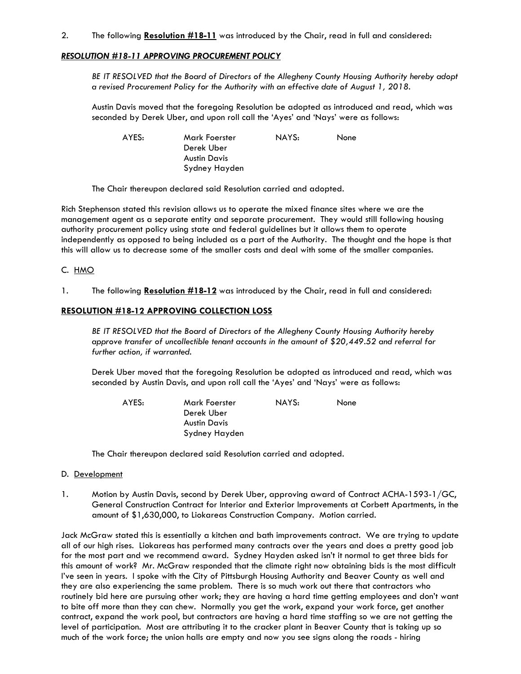### 2. The following **Resolution #18-11** was introduced by the Chair, read in full and considered:

### *RESOLUTION #18-11 APPROVING PROCUREMENT POLICY*

 *BE IT RESOLVED that the Board of Directors of the Allegheny County Housing Authority hereby adopt a revised Procurement Policy for the Authority with an effective date of August 1, 2018.* 

 Austin Davis moved that the foregoing Resolution be adopted as introduced and read, which was seconded by Derek Uber, and upon roll call the 'Ayes' and 'Nays' were as follows:

 AYES: Mark Foerster NAYS: None Derek Uber Austin Davis Sydney Hayden

The Chair thereupon declared said Resolution carried and adopted*.*

Rich Stephenson stated this revision allows us to operate the mixed finance sites where we are the management agent as a separate entity and separate procurement. They would still following housing authority procurement policy using state and federal guidelines but it allows them to operate independently as opposed to being included as a part of the Authority. The thought and the hope is that this will allow us to decrease some of the smaller costs and deal with some of the smaller companies.

#### C. HMO

1. The following **Resolution #18-12** was introduced by the Chair, read in full and considered:

### **RESOLUTION #18-12 APPROVING COLLECTION LOSS**

 *BE IT RESOLVED that the Board of Directors of the Allegheny County Housing Authority hereby approve transfer of uncollectible tenant accounts in the amount of \$20,449.52 and referral for further action, if warranted.* 

 Derek Uber moved that the foregoing Resolution be adopted as introduced and read, which was seconded by Austin Davis, and upon roll call the 'Ayes' and 'Nays' were as follows:

 AYES: Mark Foerster NAYS: None Derek Uber Austin Davis Sydney Hayden

The Chair thereupon declared said Resolution carried and adopted*.*

#### D. Development

1. Motion by Austin Davis, second by Derek Uber, approving award of Contract ACHA-1593-1/GC, General Construction Contract for Interior and Exterior Improvements at Corbett Apartments, in the amount of \$1,630,000, to Liokareas Construction Company. Motion carried.

Jack McGraw stated this is essentially a kitchen and bath improvements contract. We are trying to update all of our high rises. Liokareas has performed many contracts over the years and does a pretty good job for the most part and we recommend award. Sydney Hayden asked isn't it normal to get three bids for this amount of work? Mr. McGraw responded that the climate right now obtaining bids is the most difficult I've seen in years. I spoke with the City of Pittsburgh Housing Authority and Beaver County as well and they are also experiencing the same problem. There is so much work out there that contractors who routinely bid here are pursuing other work; they are having a hard time getting employees and don't want to bite off more than they can chew. Normally you get the work, expand your work force, get another contract, expand the work pool, but contractors are having a hard time staffing so we are not getting the level of participation. Most are attributing it to the cracker plant in Beaver County that is taking up so much of the work force; the union halls are empty and now you see signs along the roads - hiring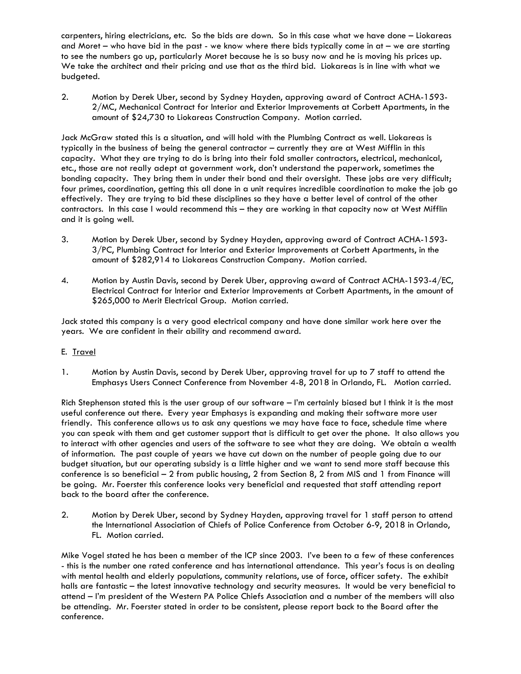carpenters, hiring electricians, etc. So the bids are down. So in this case what we have done – Liokareas and Moret – who have bid in the past - we know where there bids typically come in at – we are starting to see the numbers go up, particularly Moret because he is so busy now and he is moving his prices up. We take the architect and their pricing and use that as the third bid. Liokareas is in line with what we budgeted.

2. Motion by Derek Uber, second by Sydney Hayden, approving award of Contract ACHA-1593- 2/MC, Mechanical Contract for Interior and Exterior Improvements at Corbett Apartments, in the amount of \$24,730 to Liokareas Construction Company. Motion carried.

Jack McGraw stated this is a situation, and will hold with the Plumbing Contract as well. Liokareas is typically in the business of being the general contractor – currently they are at West Mifflin in this capacity. What they are trying to do is bring into their fold smaller contractors, electrical, mechanical, etc., those are not really adept at government work, don't understand the paperwork, sometimes the bonding capacity. They bring them in under their bond and their oversight. These jobs are very difficult; four primes, coordination, getting this all done in a unit requires incredible coordination to make the job go effectively. They are trying to bid these disciplines so they have a better level of control of the other contractors. In this case I would recommend this – they are working in that capacity now at West Mifflin and it is going well.

- 3. Motion by Derek Uber, second by Sydney Hayden, approving award of Contract ACHA-1593- 3/PC, Plumbing Contract for Interior and Exterior Improvements at Corbett Apartments, in the amount of \$282,914 to Liokareas Construction Company. Motion carried.
- 4. Motion by Austin Davis, second by Derek Uber, approving award of Contract ACHA-1593-4/EC, Electrical Contract for Interior and Exterior Improvements at Corbett Apartments, in the amount of \$265,000 to Merit Electrical Group. Motion carried.

Jack stated this company is a very good electrical company and have done similar work here over the years. We are confident in their ability and recommend award.

### E. Travel

1. Motion by Austin Davis, second by Derek Uber, approving travel for up to 7 staff to attend the Emphasys Users Connect Conference from November 4-8, 2018 in Orlando, FL. Motion carried.

Rich Stephenson stated this is the user group of our software – I'm certainly biased but I think it is the most useful conference out there. Every year Emphasys is expanding and making their software more user friendly. This conference allows us to ask any questions we may have face to face, schedule time where you can speak with them and get customer support that is difficult to get over the phone. It also allows you to interact with other agencies and users of the software to see what they are doing. We obtain a wealth of information. The past couple of years we have cut down on the number of people going due to our budget situation, but our operating subsidy is a little higher and we want to send more staff because this conference is so beneficial – 2 from public housing, 2 from Section 8, 2 from MIS and 1 from Finance will be going. Mr. Foerster this conference looks very beneficial and requested that staff attending report back to the board after the conference.

2. Motion by Derek Uber, second by Sydney Hayden, approving travel for 1 staff person to attend the International Association of Chiefs of Police Conference from October 6-9, 2018 in Orlando, FL. Motion carried.

Mike Vogel stated he has been a member of the ICP since 2003. I've been to a few of these conferences - this is the number one rated conference and has international attendance. This year's focus is on dealing with mental health and elderly populations, community relations, use of force, officer safety. The exhibit halls are fantastic – the latest innovative technology and security measures. It would be very beneficial to attend – I'm president of the Western PA Police Chiefs Association and a number of the members will also be attending. Mr. Foerster stated in order to be consistent, please report back to the Board after the conference.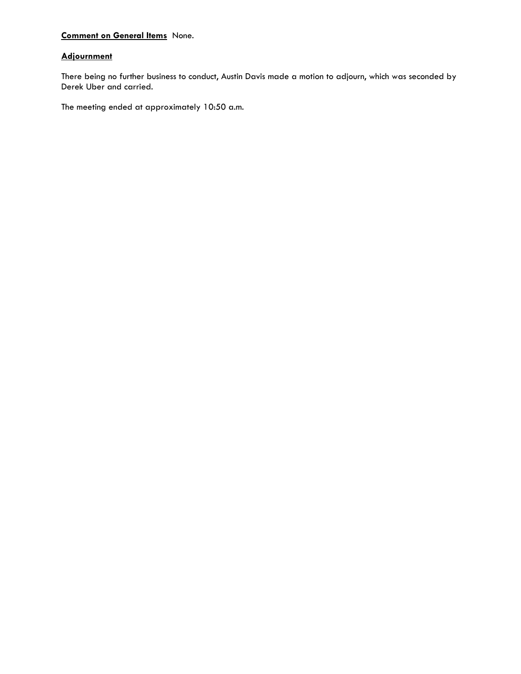# **Comment on General Items** None.

# **Adjournment**

There being no further business to conduct, Austin Davis made a motion to adjourn, which was seconded by Derek Uber and carried.

The meeting ended at approximately 10:50 a.m.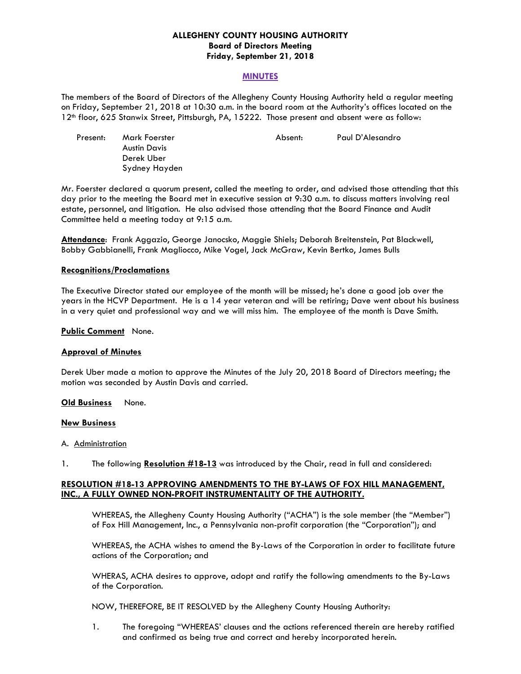### **ALLEGHENY COUNTY HOUSING AUTHORITY Board of Directors Meeting Friday, September 21, 2018**

#### **MINUTES**

The members of the Board of Directors of the Allegheny County Housing Authority held a regular meeting on Friday, September 21, 2018 at 10:30 a.m. in the board room at the Authority's offices located on the 12<sup>th</sup> floor, 625 Stanwix Street, Pittsburgh, PA, 15222. Those present and absent were as follow:

| Present: | Mark Foerster | Absent: | Paul D'Alesandro |
|----------|---------------|---------|------------------|
|          | Austin Davis  |         |                  |
|          | Derek Uber    |         |                  |
|          | Sydney Hayden |         |                  |

Mr. Foerster declared a quorum present, called the meeting to order, and advised those attending that this day prior to the meeting the Board met in executive session at 9:30 a.m. to discuss matters involving real estate, personnel, and litigation. He also advised those attending that the Board Finance and Audit Committee held a meeting today at 9:15 a.m.

**Attendance**: Frank Aggazio, George Janocsko, Maggie Shiels; Deborah Breitenstein, Pat Blackwell, Bobby Gabbianelli, Frank Magliocco, Mike Vogel, Jack McGraw, Kevin Bertko, James Bulls

#### **Recognitions/Proclamations**

The Executive Director stated our employee of the month will be missed; he's done a good job over the years in the HCVP Department. He is a 14 year veteran and will be retiring; Dave went about his business in a very quiet and professional way and we will miss him. The employee of the month is Dave Smith.

#### **Public Comment** None.

#### **Approval of Minutes**

Derek Uber made a motion to approve the Minutes of the July 20, 2018 Board of Directors meeting; the motion was seconded by Austin Davis and carried.

#### **Old Business** None.

#### **New Business**

#### A. Administration

1. The following **Resolution #18-13** was introduced by the Chair, read in full and considered:

#### **RESOLUTION #18-13 APPROVING AMENDMENTS TO THE BY-LAWS OF FOX HILL MANAGEMENT, INC., A FULLY OWNED NON-PROFIT INSTRUMENTALITY OF THE AUTHORITY.**

 WHEREAS, the Allegheny County Housing Authority ("ACHA") is the sole member (the "Member") of Fox Hill Management, Inc., a Pennsylvania non-profit corporation (the "Corporation"); and

 WHEREAS, the ACHA wishes to amend the By-Laws of the Corporation in order to facilitate future actions of the Corporation; and

 WHERAS, ACHA desires to approve, adopt and ratify the following amendments to the By-Laws of the Corporation.

NOW, THEREFORE, BE IT RESOLVED by the Allegheny County Housing Authority:

1. The foregoing "WHEREAS' clauses and the actions referenced therein are hereby ratified and confirmed as being true and correct and hereby incorporated herein.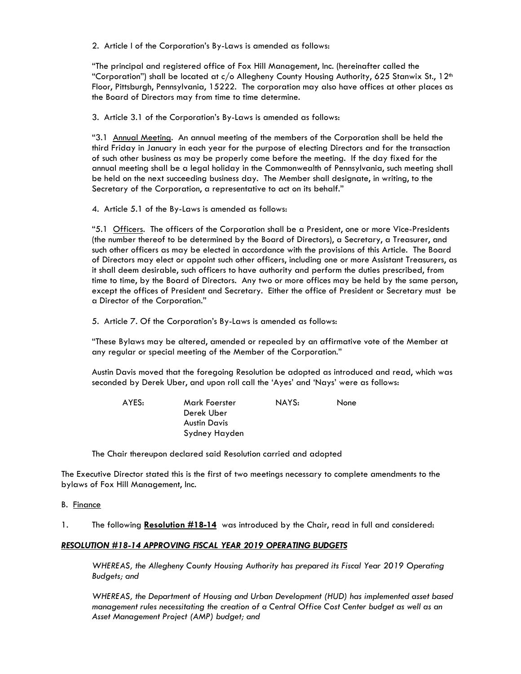2. Article I of the Corporation's By-Laws is amended as follows:

 "The principal and registered office of Fox Hill Management, Inc. (hereinafter called the "Corporation") shall be located at  $c/\sigma$  Allegheny County Housing Authority, 625 Stanwix St., 12<sup>th</sup> Floor, Pittsburgh, Pennsylvania, 15222. The corporation may also have offices at other places as the Board of Directors may from time to time determine.

3. Article 3.1 of the Corporation's By-Laws is amended as follows:

"3.1 Annual Meeting. An annual meeting of the members of the Corporation shall be held the third Friday in January in each year for the purpose of electing Directors and for the transaction of such other business as may be properly come before the meeting. If the day fixed for the annual meeting shall be a legal holiday in the Commonwealth of Pennsylvania, such meeting shall be held on the next succeeding business day. The Member shall designate, in writing, to the Secretary of the Corporation, a representative to act on its behalf."

4. Article 5.1 of the By-Laws is amended as follows:

"5.1 Officers. The officers of the Corporation shall be a President, one or more Vice-Presidents (the number thereof to be determined by the Board of Directors), a Secretary, a Treasurer, and such other officers as may be elected in accordance with the provisions of this Article. The Board of Directors may elect or appoint such other officers, including one or more Assistant Treasurers, as it shall deem desirable, such officers to have authority and perform the duties prescribed, from time to time, by the Board of Directors. Any two or more offices may be held by the same person, except the offices of President and Secretary. Either the office of President or Secretary must be a Director of the Corporation."

5. Article 7. Of the Corporation's By-Laws is amended as follows:

 "These Bylaws may be altered, amended or repealed by an affirmative vote of the Member at any regular or special meeting of the Member of the Corporation."

 Austin Davis moved that the foregoing Resolution be adopted as introduced and read, which was seconded by Derek Uber, and upon roll call the 'Ayes' and 'Nays' were as follows:

| AYES: | Mark Foerster | NAYS: | None |
|-------|---------------|-------|------|
|       | Derek Uber    |       |      |
|       | Austin Davis  |       |      |
|       | Sydney Hayden |       |      |

The Chair thereupon declared said Resolution carried and adopted

The Executive Director stated this is the first of two meetings necessary to complete amendments to the bylaws of Fox Hill Management, Inc.

B. Finance

1. The following **Resolution #18-14** was introduced by the Chair, read in full and considered:

### *RESOLUTION #18-14 APPROVING FISCAL YEAR 2019 OPERATING BUDGETS*

 *WHEREAS, the Allegheny County Housing Authority has prepared its Fiscal Year 2019 Operating Budgets; and* 

 *WHEREAS, the Department of Housing and Urban Development (HUD) has implemented asset based management rules necessitating the creation of a Central Office Cost Center budget as well as an Asset Management Project (AMP) budget; and*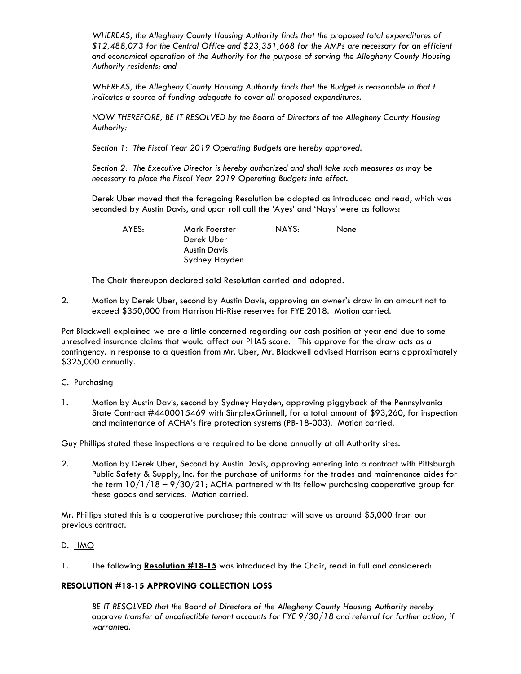*WHEREAS, the Allegheny County Housing Authority finds that the proposed total expenditures of \$12,488,073 for the Central Office and \$23,351,668 for the AMPs are necessary for an efficient and economical operation of the Authority for the purpose of serving the Allegheny County Housing Authority residents; and* 

 *WHEREAS, the Allegheny County Housing Authority finds that the Budget is reasonable in that t indicates a source of funding adequate to cover all proposed expenditures.* 

 *NOW THEREFORE, BE IT RESOLVED by the Board of Directors of the Allegheny County Housing Authority:* 

 *Section 1: The Fiscal Year 2019 Operating Budgets are hereby approved.* 

 *Section 2: The Executive Director is hereby authorized and shall take such measures as may be necessary to place the Fiscal Year 2019 Operating Budgets into effect.* 

 Derek Uber moved that the foregoing Resolution be adopted as introduced and read, which was seconded by Austin Davis, and upon roll call the 'Ayes' and 'Nays' were as follows:

| AYES: | Mark Foerster<br>Derek Uber | NAYS: | None |
|-------|-----------------------------|-------|------|
|       | Austin Davis                |       |      |
|       | Sydney Hayden               |       |      |

The Chair thereupon declared said Resolution carried and adopted*.* 

2. Motion by Derek Uber, second by Austin Davis, approving an owner's draw in an amount not to exceed \$350,000 from Harrison Hi-Rise reserves for FYE 2018. Motion carried.

Pat Blackwell explained we are a little concerned regarding our cash position at year end due to some unresolved insurance claims that would affect our PHAS score. This approve for the draw acts as a contingency. In response to a question from Mr. Uber, Mr. Blackwell advised Harrison earns approximately \$325,000 annually.

### C. Purchasing

1. Motion by Austin Davis, second by Sydney Hayden, approving piggyback of the Pennsylvania State Contract #4400015469 with SimplexGrinnell, for a total amount of \$93,260, for inspection and maintenance of ACHA's fire protection systems (PB-18-003). Motion carried.

Guy Phillips stated these inspections are required to be done annually at all Authority sites.

2. Motion by Derek Uber, Second by Austin Davis, approving entering into a contract with Pittsburgh Public Safety & Supply, Inc. for the purchase of uniforms for the trades and maintenance aides for the term  $10/1/18 - 9/30/21$ ; ACHA partnered with its fellow purchasing cooperative group for these goods and services. Motion carried.

Mr. Phillips stated this is a cooperative purchase; this contract will save us around \$5,000 from our previous contract.

### D. HMO

1. The following **Resolution #18-15** was introduced by the Chair, read in full and considered:

### **RESOLUTION #18-15 APPROVING COLLECTION LOSS**

 *BE IT RESOLVED that the Board of Directors of the Allegheny County Housing Authority hereby approve transfer of uncollectible tenant accounts for FYE 9/30/18 and referral for further action, if warranted.*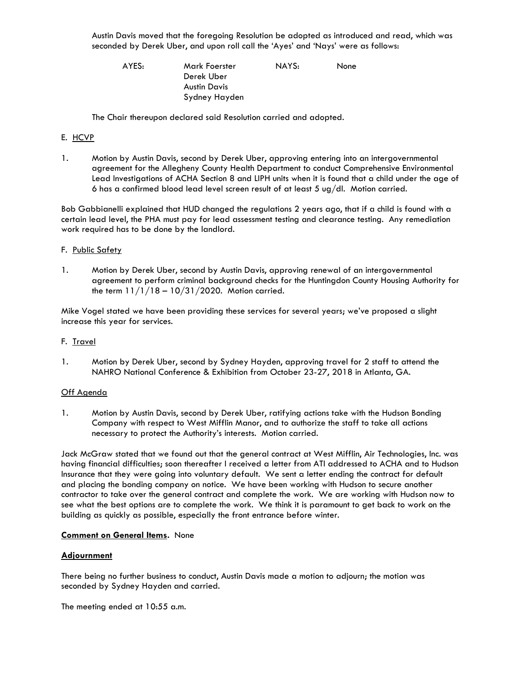Austin Davis moved that the foregoing Resolution be adopted as introduced and read, which was seconded by Derek Uber, and upon roll call the 'Ayes' and 'Nays' were as follows:

 AYES: Mark Foerster NAYS: None Derek Uber Austin Davis Sydney Hayden

The Chair thereupon declared said Resolution carried and adopted*.*

# E. HCVP

1. Motion by Austin Davis, second by Derek Uber, approving entering into an intergovernmental agreement for the Allegheny County Health Department to conduct Comprehensive Environmental Lead Investigations of ACHA Section 8 and LIPH units when it is found that a child under the age of 6 has a confirmed blood lead level screen result of at least 5 ug/dl. Motion carried.

Bob Gabbianelli explained that HUD changed the regulations 2 years ago, that if a child is found with a certain lead level, the PHA must pay for lead assessment testing and clearance testing. Any remediation work required has to be done by the landlord.

### F. Public Safety

1. Motion by Derek Uber, second by Austin Davis, approving renewal of an intergovernmental agreement to perform criminal background checks for the Huntingdon County Housing Authority for the term  $11/1/18 - 10/31/2020$ . Motion carried.

Mike Vogel stated we have been providing these services for several years; we've proposed a slight increase this year for services.

### F. Travel

1. Motion by Derek Uber, second by Sydney Hayden, approving travel for 2 staff to attend the NAHRO National Conference & Exhibition from October 23-27, 2018 in Atlanta, GA.

### Off Agenda

1. Motion by Austin Davis, second by Derek Uber, ratifying actions take with the Hudson Bonding Company with respect to West Mifflin Manor, and to authorize the staff to take all actions necessary to protect the Authority's interests. Motion carried.

Jack McGraw stated that we found out that the general contract at West Mifflin, Air Technologies, Inc. was having financial difficulties; soon thereafter I received a letter from ATI addressed to ACHA and to Hudson Insurance that they were going into voluntary default. We sent a letter ending the contract for default and placing the bonding company on notice. We have been working with Hudson to secure another contractor to take over the general contract and complete the work. We are working with Hudson now to see what the best options are to complete the work. We think it is paramount to get back to work on the building as quickly as possible, especially the front entrance before winter.

### **Comment on General Items.** None

### **Adjournment**

There being no further business to conduct, Austin Davis made a motion to adjourn; the motion was seconded by Sydney Hayden and carried.

The meeting ended at 10:55 a.m.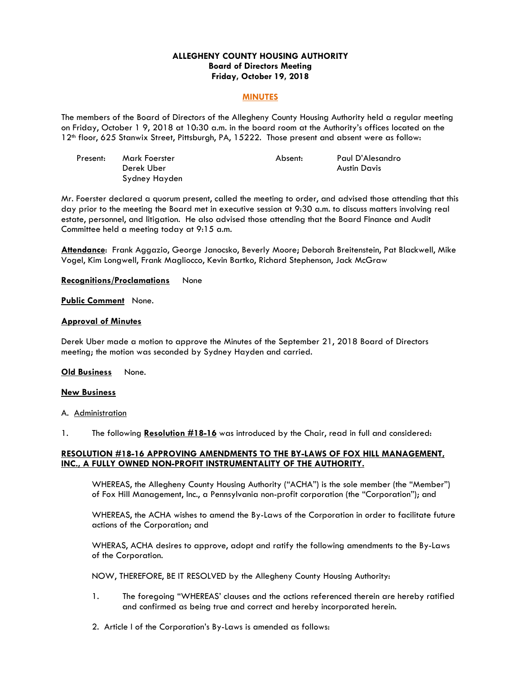### **ALLEGHENY COUNTY HOUSING AUTHORITY Board of Directors Meeting Friday, October 19, 2018**

#### **MINUTES**

The members of the Board of Directors of the Allegheny County Housing Authority held a regular meeting on Friday, October 1 9, 2018 at 10:30 a.m. in the board room at the Authority's offices located on the 12th floor, 625 Stanwix Street, Pittsburgh, PA, 15222. Those present and absent were as follow:

| Present: | Mark Foerster | Absent: | Paul D'Alesandro |
|----------|---------------|---------|------------------|
|          | Derek Uber    |         | Austin Davis     |
|          | Sydney Hayden |         |                  |

Mr. Foerster declared a quorum present, called the meeting to order, and advised those attending that this day prior to the meeting the Board met in executive session at 9:30 a.m. to discuss matters involving real estate, personnel, and litigation. He also advised those attending that the Board Finance and Audit Committee held a meeting today at 9:15 a.m.

**Attendance**: Frank Aggazio, George Janocsko, Beverly Moore; Deborah Breitenstein, Pat Blackwell, Mike Vogel, Kim Longwell, Frank Magliocco, Kevin Bartko, Richard Stephenson, Jack McGraw

**Recognitions/Proclamations** None

**Public Comment** None.

#### **Approval of Minutes**

Derek Uber made a motion to approve the Minutes of the September 21, 2018 Board of Directors meeting; the motion was seconded by Sydney Hayden and carried.

**Old Business** None.

#### **New Business**

A. Administration

1. The following **Resolution #18-16** was introduced by the Chair, read in full and considered:

### **RESOLUTION #18-16 APPROVING AMENDMENTS TO THE BY-LAWS OF FOX HILL MANAGEMENT, INC., A FULLY OWNED NON-PROFIT INSTRUMENTALITY OF THE AUTHORITY.**

 WHEREAS, the Allegheny County Housing Authority ("ACHA") is the sole member (the "Member") of Fox Hill Management, Inc., a Pennsylvania non-profit corporation (the "Corporation"); and

 WHEREAS, the ACHA wishes to amend the By-Laws of the Corporation in order to facilitate future actions of the Corporation; and

 WHERAS, ACHA desires to approve, adopt and ratify the following amendments to the By-Laws of the Corporation.

NOW, THEREFORE, BE IT RESOLVED by the Allegheny County Housing Authority:

- 1. The foregoing "WHEREAS' clauses and the actions referenced therein are hereby ratified and confirmed as being true and correct and hereby incorporated herein.
- 2. Article I of the Corporation's By-Laws is amended as follows: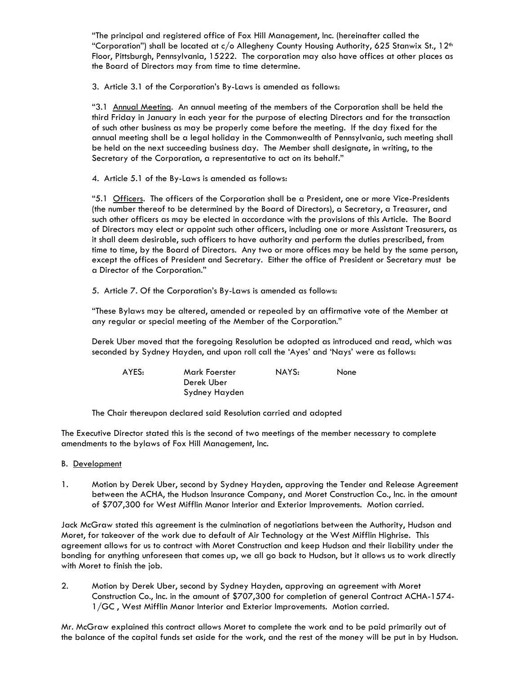"The principal and registered office of Fox Hill Management, Inc. (hereinafter called the "Corporation") shall be located at  $c/o$  Allegheny County Housing Authority, 625 Stanwix St., 12<sup>th</sup> Floor, Pittsburgh, Pennsylvania, 15222. The corporation may also have offices at other places as the Board of Directors may from time to time determine.

3. Article 3.1 of the Corporation's By-Laws is amended as follows:

"3.1 Annual Meeting. An annual meeting of the members of the Corporation shall be held the third Friday in January in each year for the purpose of electing Directors and for the transaction of such other business as may be properly come before the meeting. If the day fixed for the annual meeting shall be a legal holiday in the Commonwealth of Pennsylvania, such meeting shall be held on the next succeeding business day. The Member shall designate, in writing, to the Secretary of the Corporation, a representative to act on its behalf."

4. Article 5.1 of the By-Laws is amended as follows:

"5.1 Officers. The officers of the Corporation shall be a President, one or more Vice-Presidents (the number thereof to be determined by the Board of Directors), a Secretary, a Treasurer, and such other officers as may be elected in accordance with the provisions of this Article. The Board of Directors may elect or appoint such other officers, including one or more Assistant Treasurers, as it shall deem desirable, such officers to have authority and perform the duties prescribed, from time to time, by the Board of Directors. Any two or more offices may be held by the same person, except the offices of President and Secretary. Either the office of President or Secretary must be a Director of the Corporation."

5. Article 7. Of the Corporation's By-Laws is amended as follows:

 "These Bylaws may be altered, amended or repealed by an affirmative vote of the Member at any regular or special meeting of the Member of the Corporation."

 Derek Uber moved that the foregoing Resolution be adopted as introduced and read, which was seconded by Sydney Hayden, and upon roll call the 'Ayes' and 'Nays' were as follows:

| AYES: | Mark Foerster | NAYS: | <b>None</b> |
|-------|---------------|-------|-------------|
|       | Derek Uber    |       |             |
|       | Sydney Hayden |       |             |

The Chair thereupon declared said Resolution carried and adopted

The Executive Director stated this is the second of two meetings of the member necessary to complete amendments to the bylaws of Fox Hill Management, Inc.

### B. Development

1. Motion by Derek Uber, second by Sydney Hayden, approving the Tender and Release Agreement between the ACHA, the Hudson Insurance Company, and Moret Construction Co., Inc. in the amount of \$707,300 for West Mifflin Manor Interior and Exterior Improvements. Motion carried.

Jack McGraw stated this agreement is the culmination of negotiations between the Authority, Hudson and Moret, for takeover of the work due to default of Air Technology at the West Mifflin Highrise. This agreement allows for us to contract with Moret Construction and keep Hudson and their liability under the bonding for anything unforeseen that comes up, we all go back to Hudson, but it allows us to work directly with Moret to finish the job.

2. Motion by Derek Uber, second by Sydney Hayden, approving an agreement with Moret Construction Co., Inc. in the amount of \$707,300 for completion of general Contract ACHA-1574- 1/GC , West Mifflin Manor Interior and Exterior Improvements. Motion carried.

Mr. McGraw explained this contract allows Moret to complete the work and to be paid primarily out of the balance of the capital funds set aside for the work, and the rest of the money will be put in by Hudson.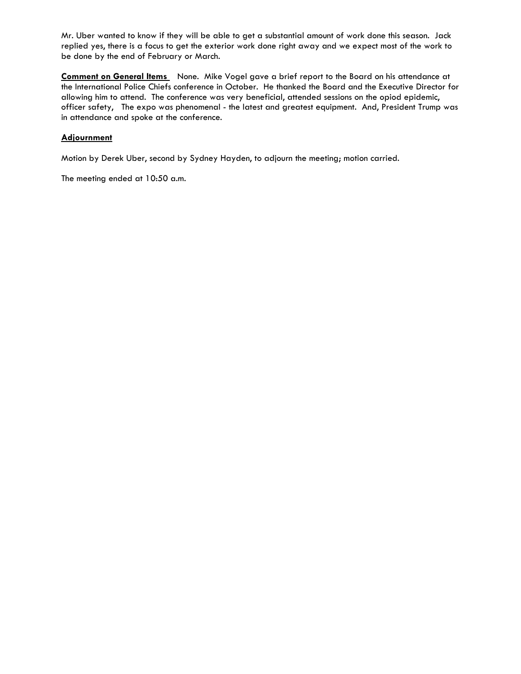Mr. Uber wanted to know if they will be able to get a substantial amount of work done this season. Jack replied yes, there is a focus to get the exterior work done right away and we expect most of the work to be done by the end of February or March.

**Comment on General Items** None. Mike Vogel gave a brief report to the Board on his attendance at the International Police Chiefs conference in October. He thanked the Board and the Executive Director for allowing him to attend. The conference was very beneficial, attended sessions on the opiod epidemic, officer safety, The expo was phenomenal - the latest and greatest equipment. And, President Trump was in attendance and spoke at the conference.

# **Adjournment**

Motion by Derek Uber, second by Sydney Hayden, to adjourn the meeting; motion carried.

The meeting ended at 10:50 a.m.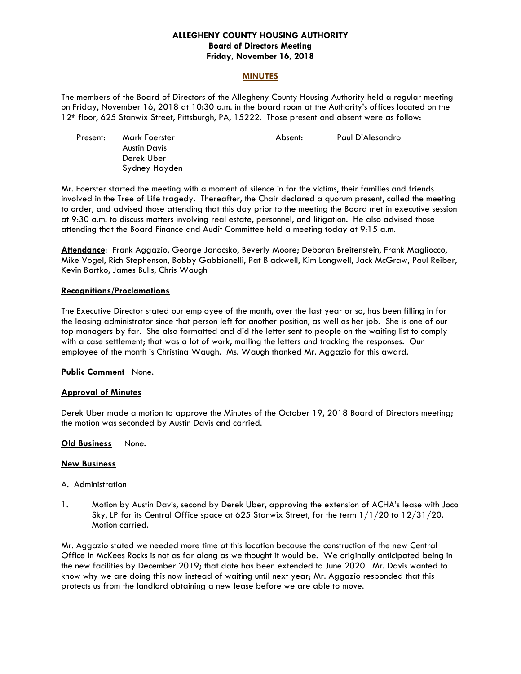### **ALLEGHENY COUNTY HOUSING AUTHORITY Board of Directors Meeting Friday, November 16, 2018**

#### **MINUTES**

The members of the Board of Directors of the Allegheny County Housing Authority held a regular meeting on Friday, November 16, 2018 at 10:30 a.m. in the board room at the Authority's offices located on the 12th floor, 625 Stanwix Street, Pittsburgh, PA, 15222. Those present and absent were as follow:

| Present: | Mark Foerster | Absent: | Paul D'Alesandro |
|----------|---------------|---------|------------------|
|          | Austin Davis  |         |                  |
|          | Derek Uber    |         |                  |
|          | Sydney Hayden |         |                  |

Mr. Foerster started the meeting with a moment of silence in for the victims, their families and friends involved in the Tree of Life tragedy. Thereafter, the Chair declared a quorum present, called the meeting to order, and advised those attending that this day prior to the meeting the Board met in executive session at 9:30 a.m. to discuss matters involving real estate, personnel, and litigation. He also advised those attending that the Board Finance and Audit Committee held a meeting today at 9:15 a.m.

**Attendance**: Frank Aggazio, George Janocsko, Beverly Moore; Deborah Breitenstein, Frank Magliocco, Mike Vogel, Rich Stephenson, Bobby Gabbianelli, Pat Blackwell, Kim Longwell, Jack McGraw, Paul Reiber, Kevin Bartko, James Bulls, Chris Waugh

#### **Recognitions/Proclamations**

The Executive Director stated our employee of the month, over the last year or so, has been filling in for the leasing administrator since that person left for another position, as well as her job. She is one of our top managers by far. She also formatted and did the letter sent to people on the waiting list to comply with a case settlement; that was a lot of work, mailing the letters and tracking the responses. Our employee of the month is Christina Waugh. Ms. Waugh thanked Mr. Aggazio for this award.

#### **Public Comment** None.

### **Approval of Minutes**

Derek Uber made a motion to approve the Minutes of the October 19, 2018 Board of Directors meeting; the motion was seconded by Austin Davis and carried.

#### **Old Business** None.

### **New Business**

#### A. Administration

1. Motion by Austin Davis, second by Derek Uber, approving the extension of ACHA's lease with Joco Sky, LP for its Central Office space at 625 Stanwix Street, for the term 1/1/20 to 12/31/20. Motion carried.

Mr. Aggazio stated we needed more time at this location because the construction of the new Central Office in McKees Rocks is not as far along as we thought it would be. We originally anticipated being in the new facilities by December 2019; that date has been extended to June 2020. Mr. Davis wanted to know why we are doing this now instead of waiting until next year; Mr. Aggazio responded that this protects us from the landlord obtaining a new lease before we are able to move.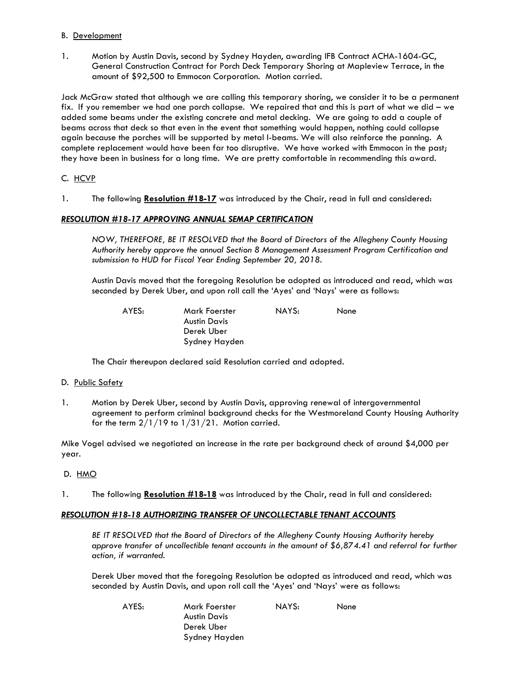### B. Development

1. Motion by Austin Davis, second by Sydney Hayden, awarding IFB Contract ACHA-1604-GC, General Construction Contract for Porch Deck Temporary Shoring at Mapleview Terrace, in the amount of \$92,500 to Emmocon Corporation. Motion carried.

Jack McGraw stated that although we are calling this temporary shoring, we consider it to be a permanent fix. If you remember we had one porch collapse. We repaired that and this is part of what we did – we added some beams under the existing concrete and metal decking. We are going to add a couple of beams across that deck so that even in the event that something would happen, nothing could collapse again because the porches will be supported by metal I-beams. We will also reinforce the panning. A complete replacement would have been far too disruptive. We have worked with Emmocon in the past; they have been in business for a long time. We are pretty comfortable in recommending this award.

### C. HCVP

1. The following **Resolution #18-17** was introduced by the Chair, read in full and considered:

# *RESOLUTION #18-17 APPROVING ANNUAL SEMAP CERTIFICATION*

 *NOW, THEREFORE, BE IT RESOLVED that the Board of Directors of the Allegheny County Housing Authority hereby approve the annual Section 8 Management Assessment Program Certification and submission to HUD for Fiscal Year Ending September 20, 2018.* 

 Austin Davis moved that the foregoing Resolution be adopted as introduced and read, which was seconded by Derek Uber, and upon roll call the 'Ayes' and 'Nays' were as follows:

 AYES: Mark Foerster NAYS: None Austin Davis Derek Uber Sydney Hayden

The Chair thereupon declared said Resolution carried and adopted*.* 

### D. Public Safety

1. Motion by Derek Uber, second by Austin Davis, approving renewal of intergovernmental agreement to perform criminal background checks for the Westmoreland County Housing Authority for the term  $2/1/19$  to  $1/31/21$ . Motion carried.

Mike Vogel advised we negotiated an increase in the rate per background check of around \$4,000 per year.

### D. HMO

1. The following **Resolution #18-18** was introduced by the Chair, read in full and considered:

### *RESOLUTION #18-18 AUTHORIZING TRANSFER OF UNCOLLECTABLE TENANT ACCOUNTS*

 *BE IT RESOLVED that the Board of Directors of the Allegheny County Housing Authority hereby approve transfer of uncollectible tenant accounts in the amount of \$6,874.41 and referral for further action, if warranted.* 

 Derek Uber moved that the foregoing Resolution be adopted as introduced and read, which was seconded by Austin Davis, and upon roll call the 'Ayes' and 'Nays' were as follows:

 AYES: Mark Foerster NAYS: None Austin Davis Derek Uber Sydney Hayden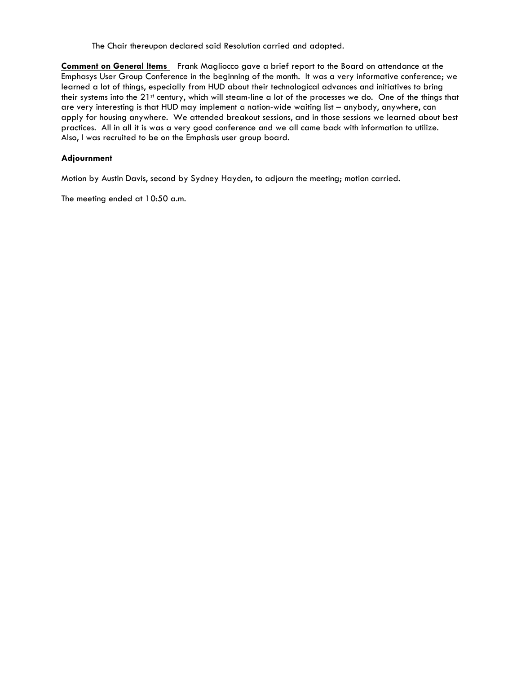The Chair thereupon declared said Resolution carried and adopted*.* 

**Comment on General Items** Frank Magliocco gave a brief report to the Board on attendance at the Emphasys User Group Conference in the beginning of the month. It was a very informative conference; we learned a lot of things, especially from HUD about their technological advances and initiatives to bring their systems into the  $21<sup>st</sup>$  century, which will steam-line a lot of the processes we do. One of the things that are very interesting is that HUD may implement a nation-wide waiting list – anybody, anywhere, can apply for housing anywhere. We attended breakout sessions, and in those sessions we learned about best practices. All in all it is was a very good conference and we all came back with information to utilize. Also, I was recruited to be on the Emphasis user group board.

### **Adjournment**

Motion by Austin Davis, second by Sydney Hayden, to adjourn the meeting; motion carried.

The meeting ended at 10:50 a.m.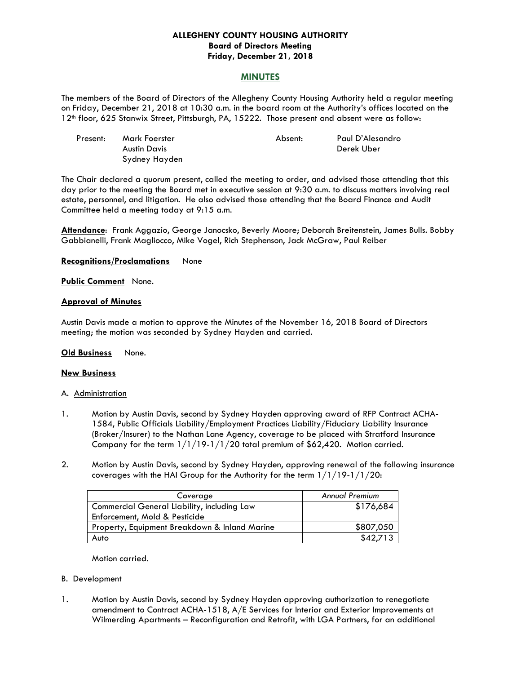### **ALLEGHENY COUNTY HOUSING AUTHORITY Board of Directors Meeting Friday, December 21, 2018**

### **MINUTES**

The members of the Board of Directors of the Allegheny County Housing Authority held a regular meeting on Friday, December 21, 2018 at 10:30 a.m. in the board room at the Authority's offices located on the 12th floor, 625 Stanwix Street, Pittsburgh, PA, 15222. Those present and absent were as follow:

| Present: | Mark Foerster | Absent: | Paul D'Alesandro |
|----------|---------------|---------|------------------|
|          | Austin Davis  |         | Derek Uber       |
|          | Sydney Hayden |         |                  |

The Chair declared a quorum present, called the meeting to order, and advised those attending that this day prior to the meeting the Board met in executive session at 9:30 a.m. to discuss matters involving real estate, personnel, and litigation. He also advised those attending that the Board Finance and Audit Committee held a meeting today at 9:15 a.m.

**Attendance**: Frank Aggazio, George Janocsko, Beverly Moore; Deborah Breitenstein, James Bulls. Bobby Gabbianelli, Frank Magliocco, Mike Vogel, Rich Stephenson, Jack McGraw, Paul Reiber

#### **Recognitions/Proclamations** None

#### **Public Comment** None.

### **Approval of Minutes**

Austin Davis made a motion to approve the Minutes of the November 16, 2018 Board of Directors meeting; the motion was seconded by Sydney Hayden and carried.

### **Old Business** None.

### **New Business**

#### A. Administration

- 1. Motion by Austin Davis, second by Sydney Hayden approving award of RFP Contract ACHA-1584, Public Officials Liability/Employment Practices Liability/Fiduciary Liability Insurance (Broker/Insurer) to the Nathan Lane Agency, coverage to be placed with Stratford Insurance Company for the term 1/1/19-1/1/20 total premium of \$62,420. Motion carried.
- 2. Motion by Austin Davis, second by Sydney Hayden, approving renewal of the following insurance coverages with the HAI Group for the Authority for the term  $1/1/19-1/1/20$ :

| Coverage                                      | <b>Annual Premium</b> |
|-----------------------------------------------|-----------------------|
| Commercial General Liability, including Law   | \$176,684             |
| Enforcement, Mold & Pesticide                 |                       |
| Property, Equipment Breakdown & Inland Marine | \$807,050             |
| Auto                                          | \$42,713              |

Motion carried.

#### B. Development

1. Motion by Austin Davis, second by Sydney Hayden approving authorization to renegotiate amendment to Contract ACHA-1518, A/E Services for Interior and Exterior Improvements at Wilmerding Apartments – Reconfiguration and Retrofit, with LGA Partners, for an additional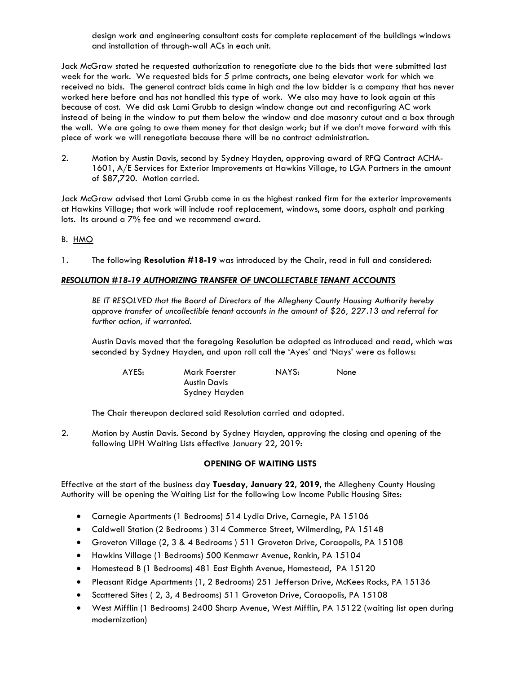design work and engineering consultant costs for complete replacement of the buildings windows and installation of through-wall ACs in each unit.

Jack McGraw stated he requested authorization to renegotiate due to the bids that were submitted last week for the work. We requested bids for 5 prime contracts, one being elevator work for which we received no bids. The general contract bids came in high and the low bidder is a company that has never worked here before and has not handled this type of work. We also may have to look again at this because of cost. We did ask Lami Grubb to design window change out and reconfiguring AC work instead of being in the window to put them below the window and doe masonry cutout and a box through the wall. We are going to owe them money for that design work; but if we don't move forward with this piece of work we will renegotiate because there will be no contract administration.

2. Motion by Austin Davis, second by Sydney Hayden, approving award of RFQ Contract ACHA-1601, A/E Services for Exterior Improvements at Hawkins Village, to LGA Partners in the amount of \$87,720. Motion carried.

Jack McGraw advised that Lami Grubb came in as the highest ranked firm for the exterior improvements at Hawkins Village; that work will include roof replacement, windows, some doors, asphalt and parking lots. Its around a 7% fee and we recommend award.

# B. HMO

1. The following **Resolution #18-19** was introduced by the Chair, read in full and considered:

# *RESOLUTION #18-19 AUTHORIZING TRANSFER OF UNCOLLECTABLE TENANT ACCOUNTS*

 *BE IT RESOLVED that the Board of Directors of the Allegheny County Housing Authority hereby approve transfer of uncollectible tenant accounts in the amount of \$26, 227.13 and referral for further action, if warranted.* 

 Austin Davis moved that the foregoing Resolution be adopted as introduced and read, which was seconded by Sydney Hayden, and upon roll call the 'Ayes' and 'Nays' were as follows:

| AYES: | Mark Foerster | NAYS: | None |
|-------|---------------|-------|------|
|       | Austin Davis  |       |      |
|       | Sydney Hayden |       |      |

The Chair thereupon declared said Resolution carried and adopted*.* 

2. Motion by Austin Davis. Second by Sydney Hayden, approving the closing and opening of the following LIPH Waiting Lists effective January 22, 2019:

# **OPENING OF WAITING LISTS**

Effective at the start of the business day **Tuesday, January 22, 2019,** the Allegheny County Housing Authority will be opening the Waiting List for the following Low Income Public Housing Sites:

- Carnegie Apartments (1 Bedrooms) 514 Lydia Drive, Carnegie, PA 15106
- Caldwell Station (2 Bedrooms ) 314 Commerce Street, Wilmerding, PA 15148
- Groveton Village (2, 3 & 4 Bedrooms ) 511 Groveton Drive, Coraopolis, PA 15108
- Hawkins Village (1 Bedrooms) 500 Kenmawr Avenue, Rankin, PA 15104
- Homestead B (1 Bedrooms) 481 East Eighth Avenue, Homestead, PA 15120
- Pleasant Ridge Apartments (1, 2 Bedrooms) 251 Jefferson Drive, McKees Rocks, PA 15136
- Scattered Sites ( 2, 3, 4 Bedrooms) 511 Groveton Drive, Coraopolis, PA 15108
- West Mifflin (1 Bedrooms) 2400 Sharp Avenue, West Mifflin, PA 15122 (waiting list open during modernization)